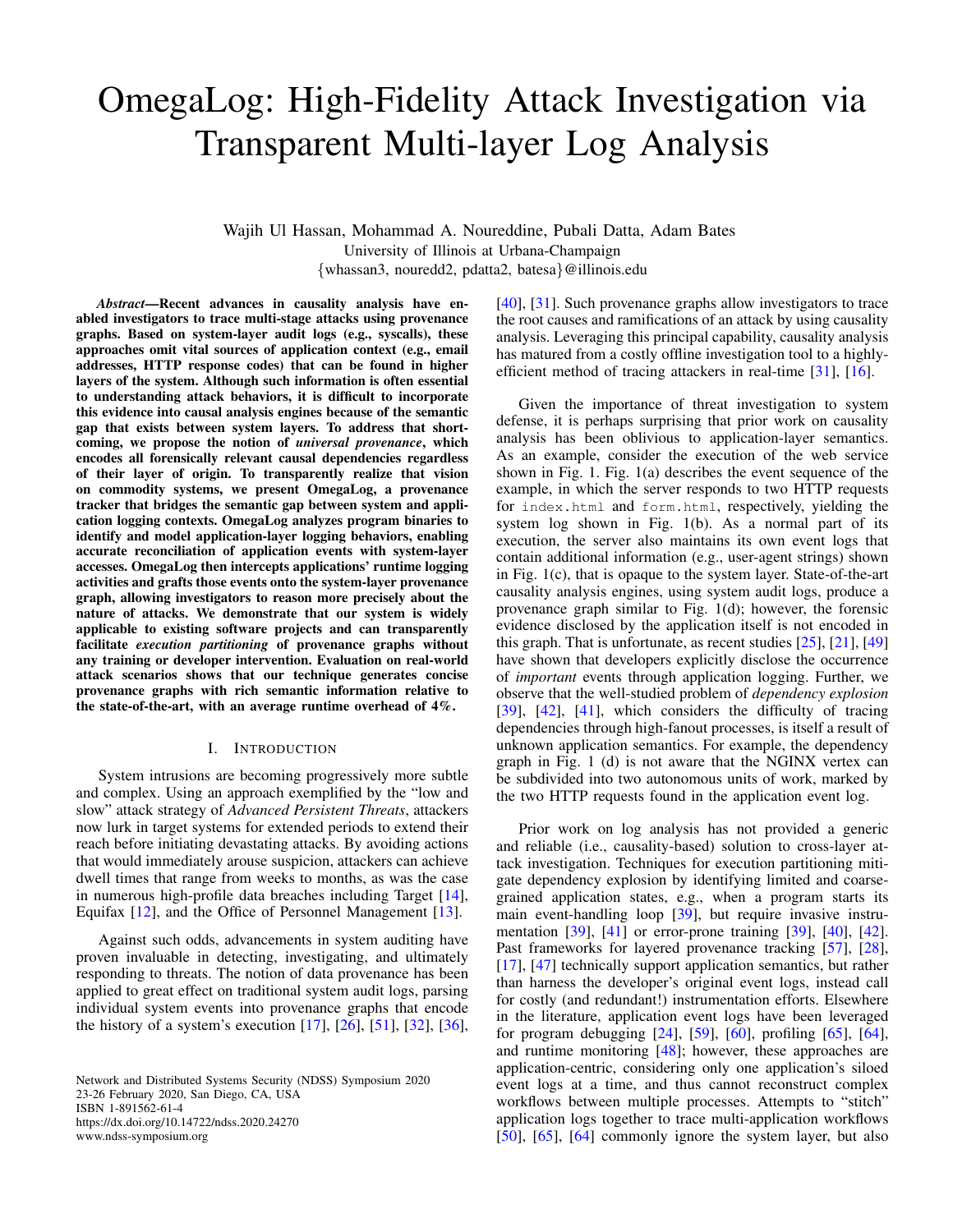# OmegaLog: High-Fidelity Attack Investigation via Transparent Multi-layer Log Analysis

Wajih Ul Hassan, Mohammad A. Noureddine, Pubali Datta, Adam Bates University of Illinois at Urbana-Champaign {whassan3, nouredd2, pdatta2, batesa}@illinois.edu

*Abstract*—Recent advances in causality analysis have enabled investigators to trace multi-stage attacks using provenance graphs. Based on system-layer audit logs (e.g., syscalls), these approaches omit vital sources of application context (e.g., email addresses, HTTP response codes) that can be found in higher layers of the system. Although such information is often essential to understanding attack behaviors, it is difficult to incorporate this evidence into causal analysis engines because of the semantic gap that exists between system layers. To address that shortcoming, we propose the notion of *universal provenance*, which encodes all forensically relevant causal dependencies regardless of their layer of origin. To transparently realize that vision on commodity systems, we present OmegaLog, a provenance tracker that bridges the semantic gap between system and application logging contexts. OmegaLog analyzes program binaries to identify and model application-layer logging behaviors, enabling accurate reconciliation of application events with system-layer accesses. OmegaLog then intercepts applications' runtime logging activities and grafts those events onto the system-layer provenance graph, allowing investigators to reason more precisely about the nature of attacks. We demonstrate that our system is widely applicable to existing software projects and can transparently facilitate *execution partitioning* of provenance graphs without any training or developer intervention. Evaluation on real-world attack scenarios shows that our technique generates concise provenance graphs with rich semantic information relative to the state-of-the-art, with an average runtime overhead of 4%.

### I. INTRODUCTION

System intrusions are becoming progressively more subtle and complex. Using an approach exemplified by the "low and slow" attack strategy of *Advanced Persistent Threats*, attackers now lurk in target systems for extended periods to extend their reach before initiating devastating attacks. By avoiding actions that would immediately arouse suspicion, attackers can achieve dwell times that range from weeks to months, as was the case in numerous high-profile data breaches including Target [\[14\]](#page-14-0), Equifax [\[12\]](#page-14-1), and the Office of Personnel Management [\[13\]](#page-14-2).

Against such odds, advancements in system auditing have proven invaluable in detecting, investigating, and ultimately responding to threats. The notion of data provenance has been applied to great effect on traditional system audit logs, parsing individual system events into provenance graphs that encode the history of a system's execution [\[17\]](#page-14-3), [\[26\]](#page-14-4), [\[51\]](#page-15-0), [\[32\]](#page-14-5), [\[36\]](#page-14-6),

Network and Distributed Systems Security (NDSS) Symposium 2020 23-26 February 2020, San Diego, CA, USA ISBN 1-891562-61-4 https://dx.doi.org/10.14722/ndss.2020.24270 www.ndss-symposium.org

[\[40\]](#page-15-1), [\[31\]](#page-14-7). Such provenance graphs allow investigators to trace the root causes and ramifications of an attack by using causality analysis. Leveraging this principal capability, causality analysis has matured from a costly offline investigation tool to a highlyefficient method of tracing attackers in real-time [\[31\]](#page-14-7), [\[16\]](#page-14-8).

Given the importance of threat investigation to system defense, it is perhaps surprising that prior work on causality analysis has been oblivious to application-layer semantics. As an example, consider the execution of the web service shown in Fig. [1.](#page-1-0) Fig. [1\(](#page-1-0)a) describes the event sequence of the example, in which the server responds to two HTTP requests for index.html and form.html, respectively, yielding the system log shown in Fig. [1\(](#page-1-0)b). As a normal part of its execution, the server also maintains its own event logs that contain additional information (e.g., user-agent strings) shown in Fig. [1\(](#page-1-0)c), that is opaque to the system layer. State-of-the-art causality analysis engines, using system audit logs, produce a provenance graph similar to Fig. [1\(](#page-1-0)d); however, the forensic evidence disclosed by the application itself is not encoded in this graph. That is unfortunate, as recent studies [\[25\]](#page-14-9), [\[21\]](#page-14-10), [\[49\]](#page-15-2) have shown that developers explicitly disclose the occurrence of *important* events through application logging. Further, we observe that the well-studied problem of *dependency explosion* [\[39\]](#page-14-11), [\[42\]](#page-15-3), [\[41\]](#page-15-4), which considers the difficulty of tracing dependencies through high-fanout processes, is itself a result of unknown application semantics. For example, the dependency graph in Fig. [1](#page-1-0) (d) is not aware that the NGINX vertex can be subdivided into two autonomous units of work, marked by the two HTTP requests found in the application event log.

Prior work on log analysis has not provided a generic and reliable (i.e., causality-based) solution to cross-layer attack investigation. Techniques for execution partitioning mitigate dependency explosion by identifying limited and coarsegrained application states, e.g., when a program starts its main event-handling loop [\[39\]](#page-14-11), but require invasive instrumentation [\[39\]](#page-14-11), [\[41\]](#page-15-4) or error-prone training [\[39\]](#page-14-11), [\[40\]](#page-15-1), [\[42\]](#page-15-3). Past frameworks for layered provenance tracking [\[57\]](#page-15-5), [\[28\]](#page-14-12), [\[17\]](#page-14-3), [\[47\]](#page-15-6) technically support application semantics, but rather than harness the developer's original event logs, instead call for costly (and redundant!) instrumentation efforts. Elsewhere in the literature, application event logs have been leveraged for program debugging [\[24\]](#page-14-13), [\[59\]](#page-15-7), [\[60\]](#page-15-8), profiling [\[65\]](#page-15-9), [\[64\]](#page-15-10), and runtime monitoring [\[48\]](#page-15-11); however, these approaches are application-centric, considering only one application's siloed event logs at a time, and thus cannot reconstruct complex workflows between multiple processes. Attempts to "stitch" application logs together to trace multi-application workflows [\[50\]](#page-15-12), [\[65\]](#page-15-9), [\[64\]](#page-15-10) commonly ignore the system layer, but also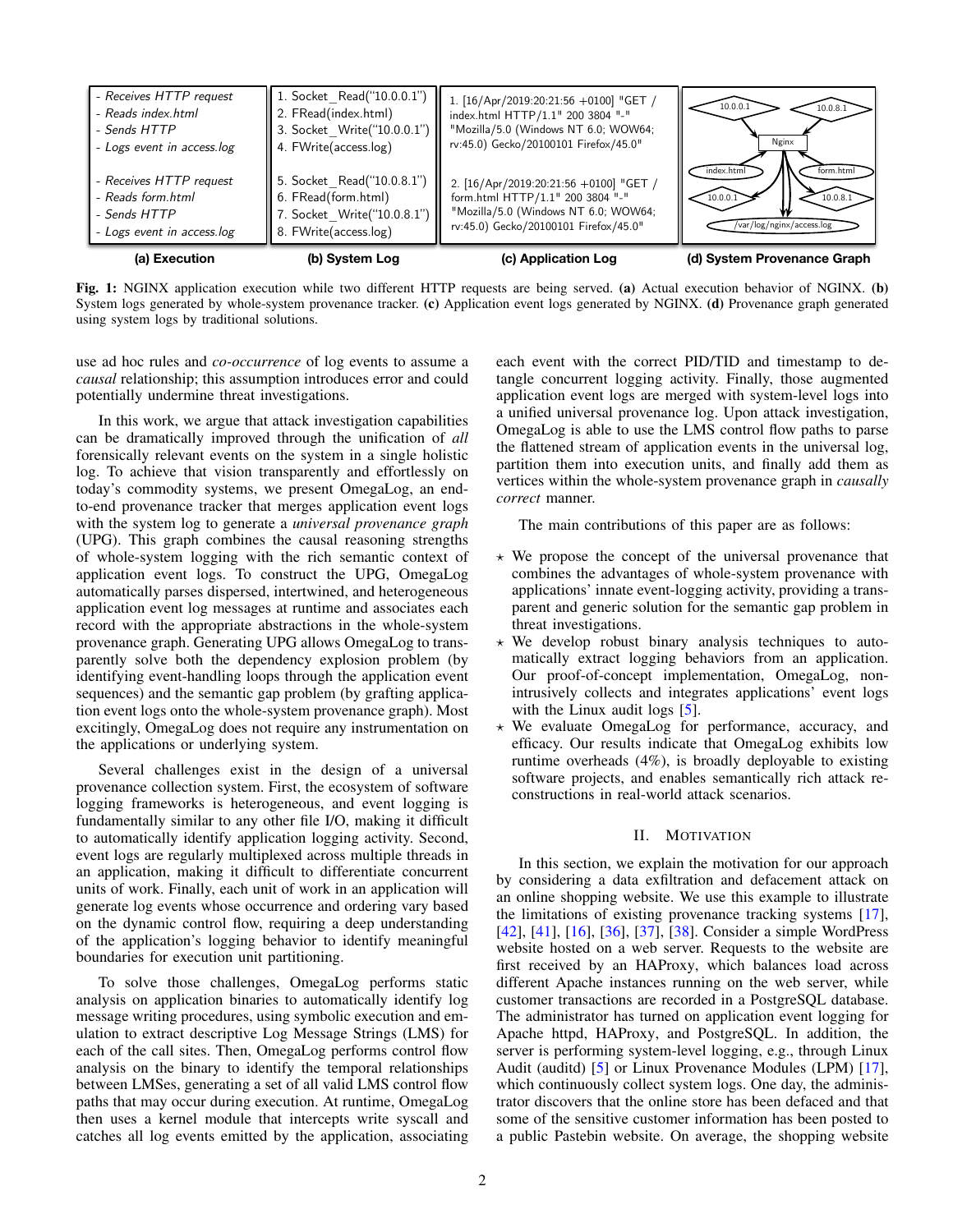<span id="page-1-0"></span>

Fig. 1: NGINX application execution while two different HTTP requests are being served. (a) Actual execution behavior of NGINX. (b) System logs generated by whole-system provenance tracker. (c) Application event logs generated by NGINX. (d) Provenance graph generated using system logs by traditional solutions.

use ad hoc rules and *co-occurrence* of log events to assume a *causal* relationship; this assumption introduces error and could potentially undermine threat investigations.

In this work, we argue that attack investigation capabilities can be dramatically improved through the unification of *all* forensically relevant events on the system in a single holistic log. To achieve that vision transparently and effortlessly on today's commodity systems, we present OmegaLog, an endto-end provenance tracker that merges application event logs with the system log to generate a *universal provenance graph* (UPG). This graph combines the causal reasoning strengths of whole-system logging with the rich semantic context of application event logs. To construct the UPG, OmegaLog automatically parses dispersed, intertwined, and heterogeneous application event log messages at runtime and associates each record with the appropriate abstractions in the whole-system provenance graph. Generating UPG allows OmegaLog to transparently solve both the dependency explosion problem (by identifying event-handling loops through the application event sequences) and the semantic gap problem (by grafting application event logs onto the whole-system provenance graph). Most excitingly, OmegaLog does not require any instrumentation on the applications or underlying system.

Several challenges exist in the design of a universal provenance collection system. First, the ecosystem of software logging frameworks is heterogeneous, and event logging is fundamentally similar to any other file I/O, making it difficult to automatically identify application logging activity. Second, event logs are regularly multiplexed across multiple threads in an application, making it difficult to differentiate concurrent units of work. Finally, each unit of work in an application will generate log events whose occurrence and ordering vary based on the dynamic control flow, requiring a deep understanding of the application's logging behavior to identify meaningful boundaries for execution unit partitioning.

To solve those challenges, OmegaLog performs static analysis on application binaries to automatically identify log message writing procedures, using symbolic execution and emulation to extract descriptive Log Message Strings (LMS) for each of the call sites. Then, OmegaLog performs control flow analysis on the binary to identify the temporal relationships between LMSes, generating a set of all valid LMS control flow paths that may occur during execution. At runtime, OmegaLog then uses a kernel module that intercepts write syscall and catches all log events emitted by the application, associating each event with the correct PID/TID and timestamp to detangle concurrent logging activity. Finally, those augmented application event logs are merged with system-level logs into a unified universal provenance log. Upon attack investigation, OmegaLog is able to use the LMS control flow paths to parse the flattened stream of application events in the universal log, partition them into execution units, and finally add them as vertices within the whole-system provenance graph in *causally correct* manner.

The main contributions of this paper are as follows:

- $\star$  We propose the concept of the universal provenance that combines the advantages of whole-system provenance with applications' innate event-logging activity, providing a transparent and generic solution for the semantic gap problem in threat investigations.
- $\star$  We develop robust binary analysis techniques to automatically extract logging behaviors from an application. Our proof-of-concept implementation, OmegaLog, nonintrusively collects and integrates applications' event logs with the Linux audit logs [\[5\]](#page-14-14).
- $\star$  We evaluate OmegaLog for performance, accuracy, and efficacy. Our results indicate that OmegaLog exhibits low runtime overheads (4%), is broadly deployable to existing software projects, and enables semantically rich attack reconstructions in real-world attack scenarios.

## II. MOTIVATION

<span id="page-1-1"></span>In this section, we explain the motivation for our approach by considering a data exfiltration and defacement attack on an online shopping website. We use this example to illustrate the limitations of existing provenance tracking systems [\[17\]](#page-14-3), [\[42\]](#page-15-3), [\[41\]](#page-15-4), [\[16\]](#page-14-8), [\[36\]](#page-14-6), [\[37\]](#page-14-15), [\[38\]](#page-14-16). Consider a simple WordPress website hosted on a web server. Requests to the website are first received by an HAProxy, which balances load across different Apache instances running on the web server, while customer transactions are recorded in a PostgreSQL database. The administrator has turned on application event logging for Apache httpd, HAProxy, and PostgreSQL. In addition, the server is performing system-level logging, e.g., through Linux Audit (auditd) [\[5\]](#page-14-14) or Linux Provenance Modules (LPM) [\[17\]](#page-14-3), which continuously collect system logs. One day, the administrator discovers that the online store has been defaced and that some of the sensitive customer information has been posted to a public Pastebin website. On average, the shopping website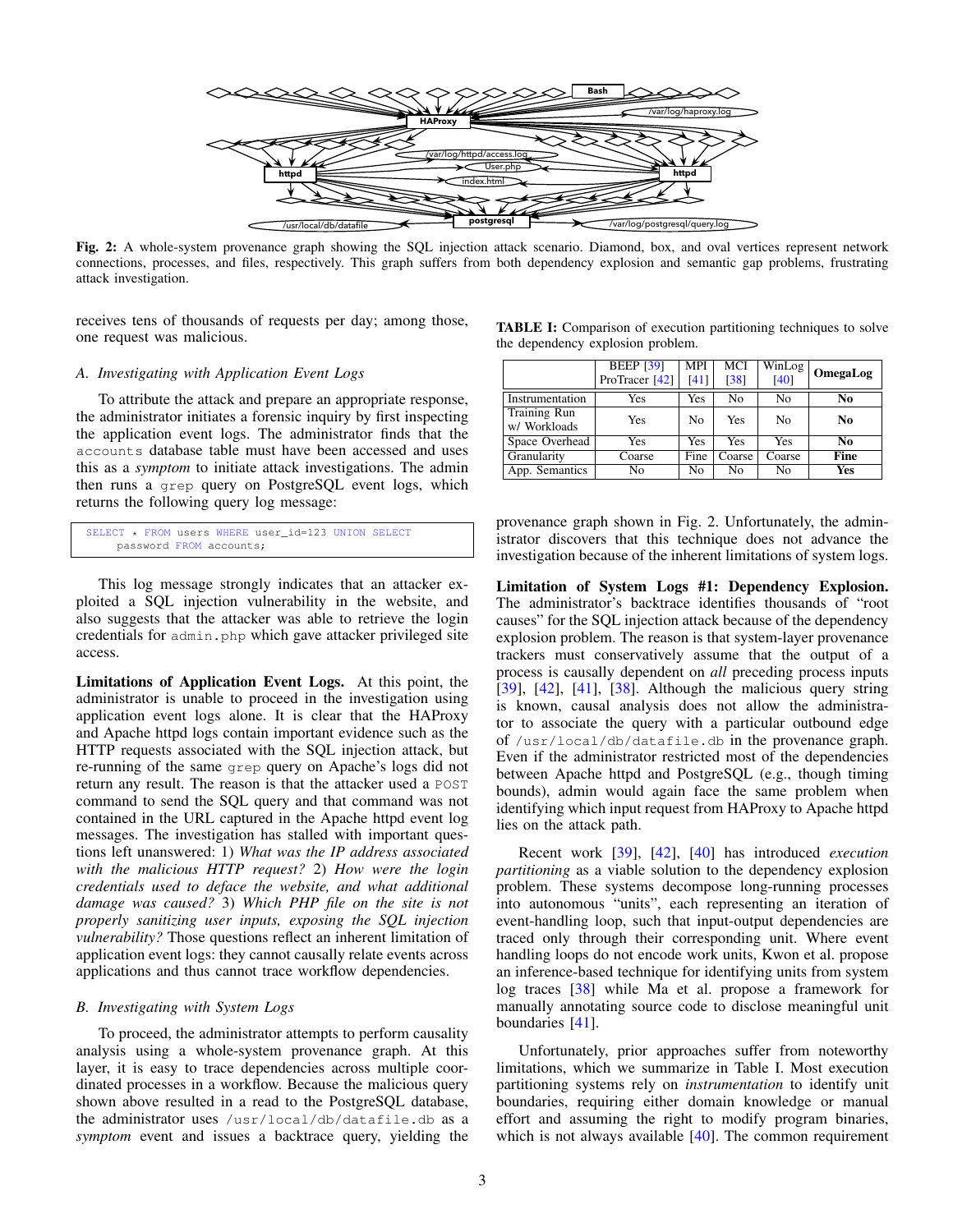<span id="page-2-0"></span>

Fig. 2: A whole-system provenance graph showing the SQL injection attack scenario. Diamond, box, and oval vertices represent network connections, processes, and files, respectively. This graph suffers from both dependency explosion and semantic gap problems, frustrating attack investigation.

receives tens of thousands of requests per day; among those, one request was malicious.

#### *A. Investigating with Application Event Logs*

To attribute the attack and prepare an appropriate response, the administrator initiates a forensic inquiry by first inspecting the application event logs. The administrator finds that the accounts database table must have been accessed and uses this as a *symptom* to initiate attack investigations. The admin then runs a grep query on PostgreSQL event logs, which returns the following query log message:

```
SELECT * FROM users WHERE user_id=123 UNION SELECT
    password FROM accounts;
```
This log message strongly indicates that an attacker exploited a SQL injection vulnerability in the website, and also suggests that the attacker was able to retrieve the login credentials for admin.php which gave attacker privileged site access.

Limitations of Application Event Logs. At this point, the administrator is unable to proceed in the investigation using application event logs alone. It is clear that the HAProxy and Apache httpd logs contain important evidence such as the HTTP requests associated with the SQL injection attack, but re-running of the same grep query on Apache's logs did not return any result. The reason is that the attacker used a POST command to send the SQL query and that command was not contained in the URL captured in the Apache httpd event log messages. The investigation has stalled with important questions left unanswered: 1) *What was the IP address associated with the malicious HTTP request?* 2) *How were the login credentials used to deface the website, and what additional damage was caused?* 3) *Which PHP file on the site is not properly sanitizing user inputs, exposing the SQL injection vulnerability?* Those questions reflect an inherent limitation of application event logs: they cannot causally relate events across applications and thus cannot trace workflow dependencies.

## *B. Investigating with System Logs*

To proceed, the administrator attempts to perform causality analysis using a whole-system provenance graph. At this layer, it is easy to trace dependencies across multiple coordinated processes in a workflow. Because the malicious query shown above resulted in a read to the PostgreSQL database, the administrator uses /usr/local/db/datafile.db as a *symptom* event and issues a backtrace query, yielding the

<span id="page-2-1"></span>

| <b>TABLE I:</b> Comparison of execution partitioning techniques to solve |  |  |  |
|--------------------------------------------------------------------------|--|--|--|
| the dependency explosion problem.                                        |  |  |  |

|                              | <b>BEEP</b> [39]<br>ProTracer <sup>[42]</sup> | <b>MPI</b><br>[41] | MCI<br>[38] | $\overline{\text{WinLog}}$<br>[40] | OmegaLog |
|------------------------------|-----------------------------------------------|--------------------|-------------|------------------------------------|----------|
| Instrumentation              | Yes                                           | Yes                | No          | No                                 | No       |
| Training Run<br>w/ Workloads | Yes                                           | No                 | Yes         | No                                 | No       |
| Space Overhead               | Yes                                           | Yes                | Yes         | Yes                                | No       |
| Granularity                  | Coarse                                        | Fine               | Coarse      | Coarse                             | Fine     |
| App. Semantics               | No                                            | No                 | No          | No                                 | Yes      |

provenance graph shown in Fig. [2.](#page-2-0) Unfortunately, the administrator discovers that this technique does not advance the investigation because of the inherent limitations of system logs.

Limitation of System Logs #1: Dependency Explosion. The administrator's backtrace identifies thousands of "root causes" for the SQL injection attack because of the dependency explosion problem. The reason is that system-layer provenance trackers must conservatively assume that the output of a process is causally dependent on *all* preceding process inputs [\[39\]](#page-14-11), [\[42\]](#page-15-3), [\[41\]](#page-15-4), [\[38\]](#page-14-16). Although the malicious query string is known, causal analysis does not allow the administrator to associate the query with a particular outbound edge of /usr/local/db/datafile.db in the provenance graph. Even if the administrator restricted most of the dependencies between Apache httpd and PostgreSQL (e.g., though timing bounds), admin would again face the same problem when identifying which input request from HAProxy to Apache httpd lies on the attack path.

Recent work [\[39\]](#page-14-11), [\[42\]](#page-15-3), [\[40\]](#page-15-1) has introduced *execution partitioning* as a viable solution to the dependency explosion problem. These systems decompose long-running processes into autonomous "units", each representing an iteration of event-handling loop, such that input-output dependencies are traced only through their corresponding unit. Where event handling loops do not encode work units, Kwon et al. propose an inference-based technique for identifying units from system log traces [\[38\]](#page-14-16) while Ma et al. propose a framework for manually annotating source code to disclose meaningful unit boundaries [\[41\]](#page-15-4).

Unfortunately, prior approaches suffer from noteworthy limitations, which we summarize in Table [I.](#page-2-1) Most execution partitioning systems rely on *instrumentation* to identify unit boundaries, requiring either domain knowledge or manual effort and assuming the right to modify program binaries, which is not always available [\[40\]](#page-15-1). The common requirement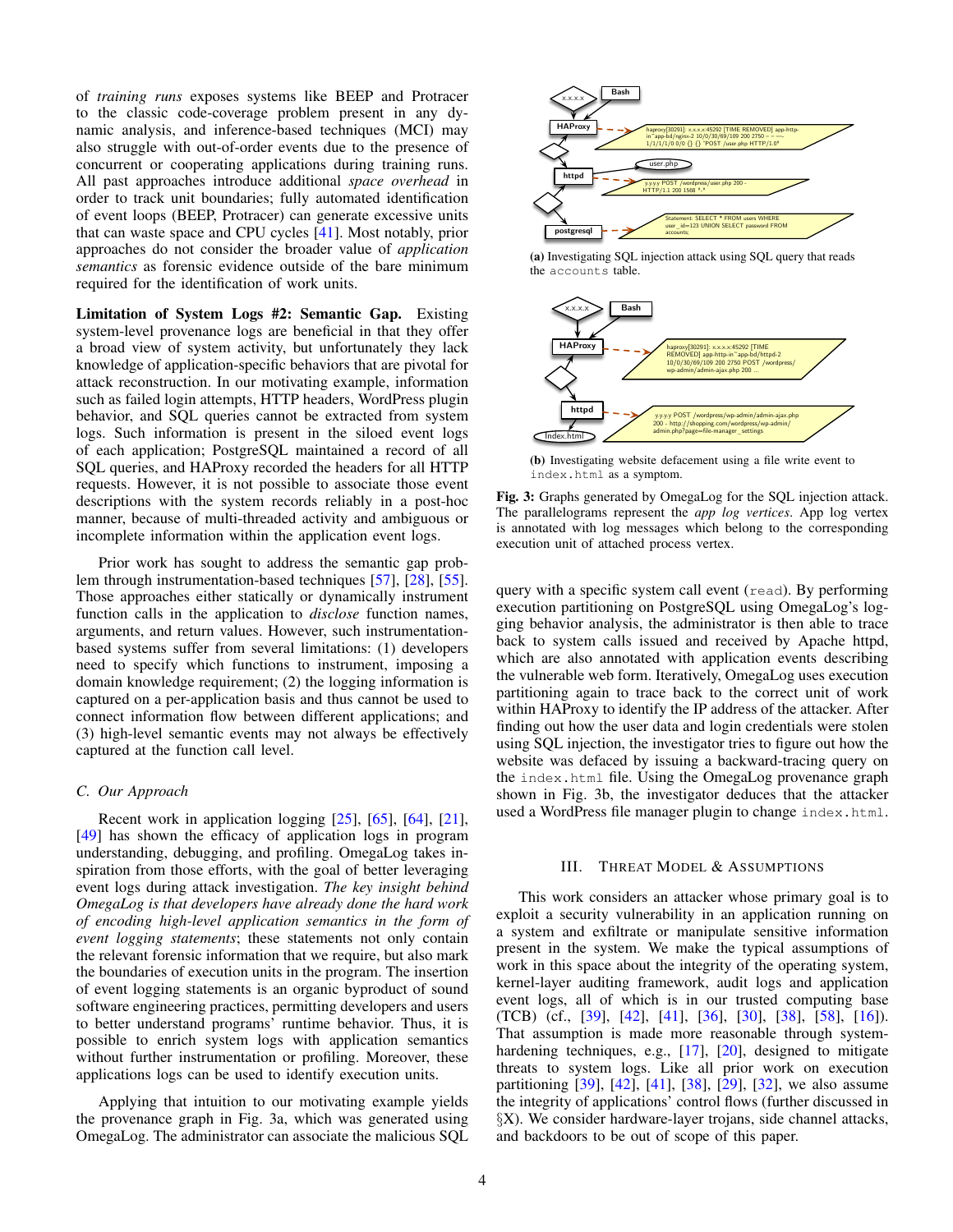of *training runs* exposes systems like BEEP and Protracer to the classic code-coverage problem present in any dynamic analysis, and inference-based techniques (MCI) may also struggle with out-of-order events due to the presence of concurrent or cooperating applications during training runs. All past approaches introduce additional *space overhead* in order to track unit boundaries; fully automated identification of event loops (BEEP, Protracer) can generate excessive units that can waste space and CPU cycles [\[41\]](#page-15-4). Most notably, prior approaches do not consider the broader value of *application semantics* as forensic evidence outside of the bare minimum required for the identification of work units.

Limitation of System Logs #2: Semantic Gap. Existing system-level provenance logs are beneficial in that they offer a broad view of system activity, but unfortunately they lack knowledge of application-specific behaviors that are pivotal for attack reconstruction. In our motivating example, information such as failed login attempts, HTTP headers, WordPress plugin behavior, and SQL queries cannot be extracted from system logs. Such information is present in the siloed event logs of each application; PostgreSQL maintained a record of all SQL queries, and HAProxy recorded the headers for all HTTP requests. However, it is not possible to associate those event descriptions with the system records reliably in a post-hoc manner, because of multi-threaded activity and ambiguous or incomplete information within the application event logs.

Prior work has sought to address the semantic gap problem through instrumentation-based techniques [\[57\]](#page-15-5), [\[28\]](#page-14-12), [\[55\]](#page-15-13). Those approaches either statically or dynamically instrument function calls in the application to *disclose* function names, arguments, and return values. However, such instrumentationbased systems suffer from several limitations: (1) developers need to specify which functions to instrument, imposing a domain knowledge requirement; (2) the logging information is captured on a per-application basis and thus cannot be used to connect information flow between different applications; and (3) high-level semantic events may not always be effectively captured at the function call level.

#### *C. Our Approach*

Recent work in application logging [\[25\]](#page-14-9), [\[65\]](#page-15-9), [\[64\]](#page-15-10), [\[21\]](#page-14-10), [\[49\]](#page-15-2) has shown the efficacy of application logs in program understanding, debugging, and profiling. OmegaLog takes inspiration from those efforts, with the goal of better leveraging event logs during attack investigation. *The key insight behind OmegaLog is that developers have already done the hard work of encoding high-level application semantics in the form of event logging statements*; these statements not only contain the relevant forensic information that we require, but also mark the boundaries of execution units in the program. The insertion of event logging statements is an organic byproduct of sound software engineering practices, permitting developers and users to better understand programs' runtime behavior. Thus, it is possible to enrich system logs with application semantics without further instrumentation or profiling. Moreover, these applications logs can be used to identify execution units.

Applying that intuition to our motivating example yields the provenance graph in Fig. [3a,](#page-3-0) which was generated using OmegaLog. The administrator can associate the malicious SQL

<span id="page-3-0"></span>

(a) Investigating SQL injection attack using SQL query that reads the accounts table.



<span id="page-3-1"></span>(b) Investigating website defacement using a file write event to index.html as a symptom.

Fig. 3: Graphs generated by OmegaLog for the SQL injection attack. The parallelograms represent the *app log vertices*. App log vertex is annotated with log messages which belong to the corresponding execution unit of attached process vertex.

query with a specific system call event (read). By performing execution partitioning on PostgreSQL using OmegaLog's logging behavior analysis, the administrator is then able to trace back to system calls issued and received by Apache httpd, which are also annotated with application events describing the vulnerable web form. Iteratively, OmegaLog uses execution partitioning again to trace back to the correct unit of work within HAProxy to identify the IP address of the attacker. After finding out how the user data and login credentials were stolen using SQL injection, the investigator tries to figure out how the website was defaced by issuing a backward-tracing query on the index.html file. Using the OmegaLog provenance graph shown in Fig. [3b,](#page-3-1) the investigator deduces that the attacker used a WordPress file manager plugin to change index.html.

### III. THREAT MODEL & ASSUMPTIONS

This work considers an attacker whose primary goal is to exploit a security vulnerability in an application running on a system and exfiltrate or manipulate sensitive information present in the system. We make the typical assumptions of work in this space about the integrity of the operating system, kernel-layer auditing framework, audit logs and application event logs, all of which is in our trusted computing base (TCB) (cf., [\[39\]](#page-14-11), [\[42\]](#page-15-3), [\[41\]](#page-15-4), [\[36\]](#page-14-6), [\[30\]](#page-14-17), [\[38\]](#page-14-16), [\[58\]](#page-15-14), [\[16\]](#page-14-8)). That assumption is made more reasonable through system-hardening techniques, e.g., [\[17\]](#page-14-3), [\[20\]](#page-14-18), designed to mitigate threats to system logs. Like all prior work on execution partitioning [\[39\]](#page-14-11), [\[42\]](#page-15-3), [\[41\]](#page-15-4), [\[38\]](#page-14-16), [\[29\]](#page-14-19), [\[32\]](#page-14-5), we also assume the integrity of applications' control flows (further discussed in §[X\)](#page-12-0). We consider hardware-layer trojans, side channel attacks, and backdoors to be out of scope of this paper.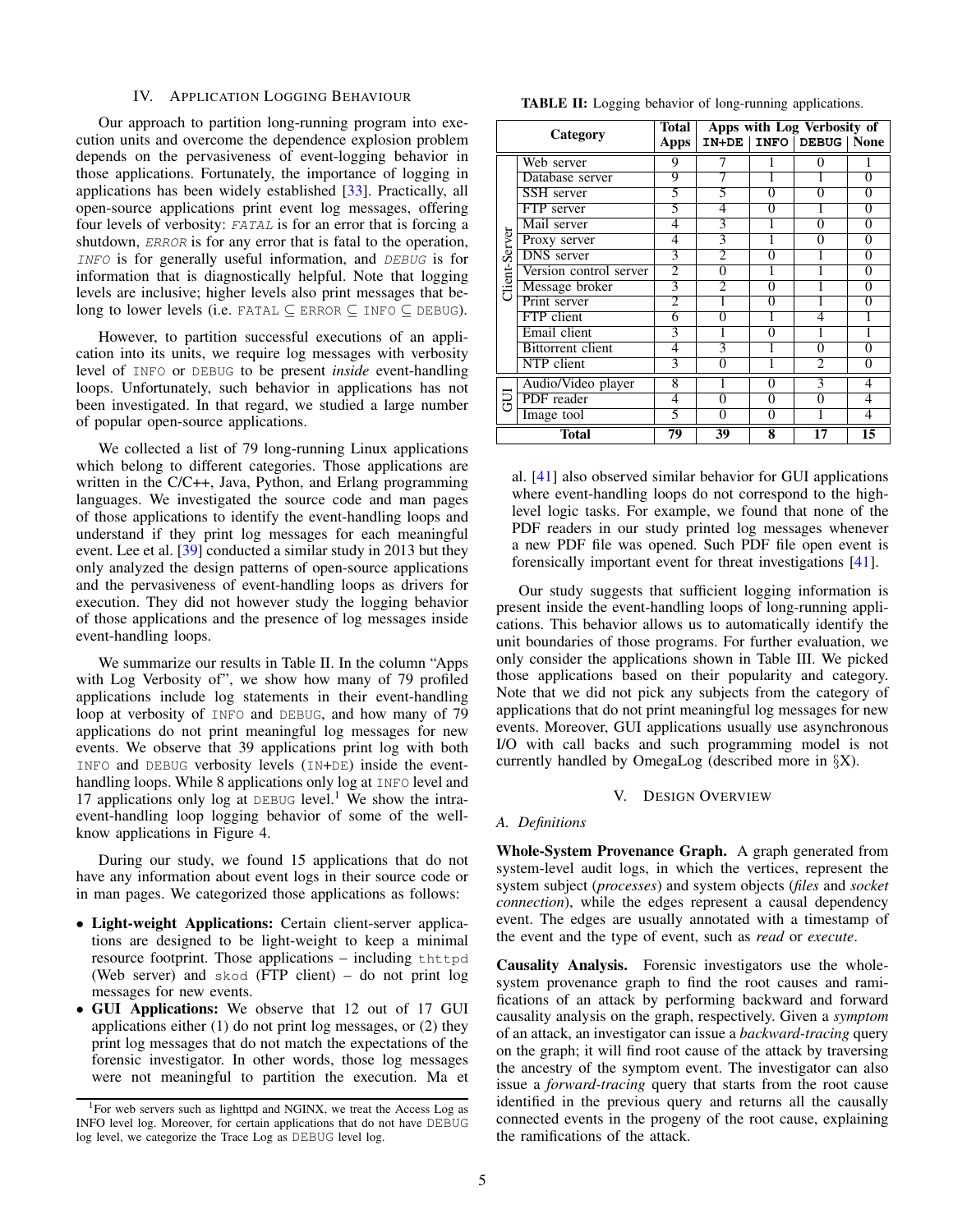#### IV. APPLICATION LOGGING BEHAVIOUR

<span id="page-4-2"></span>Our approach to partition long-running program into execution units and overcome the dependence explosion problem depends on the pervasiveness of event-logging behavior in those applications. Fortunately, the importance of logging in applications has been widely established [\[33\]](#page-14-20). Practically, all open-source applications print event log messages, offering four levels of verbosity: FATAL is for an error that is forcing a shutdown, *ERROR* is for any error that is fatal to the operation, INFO is for generally useful information, and DEBUG is for information that is diagnostically helpful. Note that logging levels are inclusive; higher levels also print messages that belong to lower levels (i.e. FATAL  $\subset$  ERROR  $\subset$  INFO  $\subset$  DEBUG).

However, to partition successful executions of an application into its units, we require log messages with verbosity level of INFO or DEBUG to be present *inside* event-handling loops. Unfortunately, such behavior in applications has not been investigated. In that regard, we studied a large number of popular open-source applications.

We collected a list of 79 long-running Linux applications which belong to different categories. Those applications are written in the C/C++, Java, Python, and Erlang programming languages. We investigated the source code and man pages of those applications to identify the event-handling loops and understand if they print log messages for each meaningful event. Lee et al. [\[39\]](#page-14-11) conducted a similar study in 2013 but they only analyzed the design patterns of open-source applications and the pervasiveness of event-handling loops as drivers for execution. They did not however study the logging behavior of those applications and the presence of log messages inside event-handling loops.

We summarize our results in Table [II.](#page-4-0) In the column "Apps with Log Verbosity of", we show how many of 79 profiled applications include log statements in their event-handling loop at verbosity of INFO and DEBUG, and how many of 79 applications do not print meaningful log messages for new events. We observe that 39 applications print log with both INFO and DEBUG verbosity levels (IN+DE) inside the eventhandling loops. While 8 applications only log at INFO level and [1](#page-4-1)7 applications only log at DEBUG level.<sup>1</sup> We show the intraevent-handling loop logging behavior of some of the wellknow applications in Figure [4.](#page-5-0)

During our study, we found 15 applications that do not have any information about event logs in their source code or in man pages. We categorized those applications as follows:

- Light-weight Applications: Certain client-server applications are designed to be light-weight to keep a minimal resource footprint. Those applications – including thttpd (Web server) and skod (FTP client) – do not print log messages for new events.
- GUI Applications: We observe that 12 out of 17 GUI applications either (1) do not print log messages, or (2) they print log messages that do not match the expectations of the forensic investigator. In other words, those log messages were not meaningful to partition the execution. Ma et

<span id="page-4-0"></span>TABLE II: Logging behavior of long-running applications.

| Category      |                          | Total          | Apps with Log Verbosity of |                |                             |                |  |  |
|---------------|--------------------------|----------------|----------------------------|----------------|-----------------------------|----------------|--|--|
|               |                          | Apps           |                            |                | IN+DE   INFO   DEBUG   None |                |  |  |
|               | Web server               | 9              |                            |                | 0                           |                |  |  |
|               | Database server          | 9              |                            |                |                             | $\theta$       |  |  |
|               | SSH server               | 5              | 5                          | $\overline{0}$ | O                           | 0              |  |  |
|               | FTP server               | 5              | 4                          | $\overline{0}$ |                             | $\overline{0}$ |  |  |
|               | Mail server              | 4              | 3                          |                | 0                           | 0              |  |  |
| Client-Server | Proxy server             | 4              | 3                          |                | 0                           | $\overline{0}$ |  |  |
|               | <b>DNS</b> server        | 3              |                            | 0              |                             | 0              |  |  |
|               | Version control server   | $\overline{2}$ | 0                          |                |                             | 0              |  |  |
|               | Message broker           | 3              | $\mathfrak{D}$             | $\Omega$       |                             | $\Omega$       |  |  |
|               | Print server             | $\overline{2}$ |                            | $\overline{0}$ |                             | $\overline{0}$ |  |  |
|               | FTP client               | 6              | 0                          |                | 4                           |                |  |  |
|               | Email client             | 3              |                            | $\overline{0}$ |                             |                |  |  |
|               | <b>Bittorrent</b> client | 4              | 3                          | 1              | 0                           | 0              |  |  |
|               | NTP client               | 3              | 0                          | ī              | $\overline{2}$              | 0              |  |  |
| Ē             | Audio/Video player       | 8              |                            | $\Omega$       | 3                           | 4              |  |  |
|               | PDF reader               | 4              | 0                          | 0              | 0                           | 4              |  |  |
|               | Image tool               | 5              | 0                          | $\Omega$       |                             | 4              |  |  |
| <b>Total</b>  |                          | 79             | 39                         | 8              | 17                          | 15             |  |  |

al. [\[41\]](#page-15-4) also observed similar behavior for GUI applications where event-handling loops do not correspond to the highlevel logic tasks. For example, we found that none of the PDF readers in our study printed log messages whenever a new PDF file was opened. Such PDF file open event is forensically important event for threat investigations [\[41\]](#page-15-4).

Our study suggests that sufficient logging information is present inside the event-handling loops of long-running applications. This behavior allows us to automatically identify the unit boundaries of those programs. For further evaluation, we only consider the applications shown in Table [III.](#page-11-0) We picked those applications based on their popularity and category. Note that we did not pick any subjects from the category of applications that do not print meaningful log messages for new events. Moreover, GUI applications usually use asynchronous I/O with call backs and such programming model is not currently handled by OmegaLog (described more in §[X\)](#page-12-0).

## V. DESIGN OVERVIEW

#### <span id="page-4-3"></span>*A. Definitions*

Whole-System Provenance Graph. A graph generated from system-level audit logs, in which the vertices, represent the system subject (*processes*) and system objects (*files* and *socket connection*), while the edges represent a causal dependency event. The edges are usually annotated with a timestamp of the event and the type of event, such as *read* or *execute*.

Causality Analysis. Forensic investigators use the wholesystem provenance graph to find the root causes and ramifications of an attack by performing backward and forward causality analysis on the graph, respectively. Given a *symptom* of an attack, an investigator can issue a *backward-tracing* query on the graph; it will find root cause of the attack by traversing the ancestry of the symptom event. The investigator can also issue a *forward-tracing* query that starts from the root cause identified in the previous query and returns all the causally connected events in the progeny of the root cause, explaining the ramifications of the attack.

<span id="page-4-1"></span><sup>&</sup>lt;sup>1</sup>For web servers such as lighttpd and NGINX, we treat the Access Log as INFO level log. Moreover, for certain applications that do not have DEBUG log level, we categorize the Trace Log as DEBUG level log.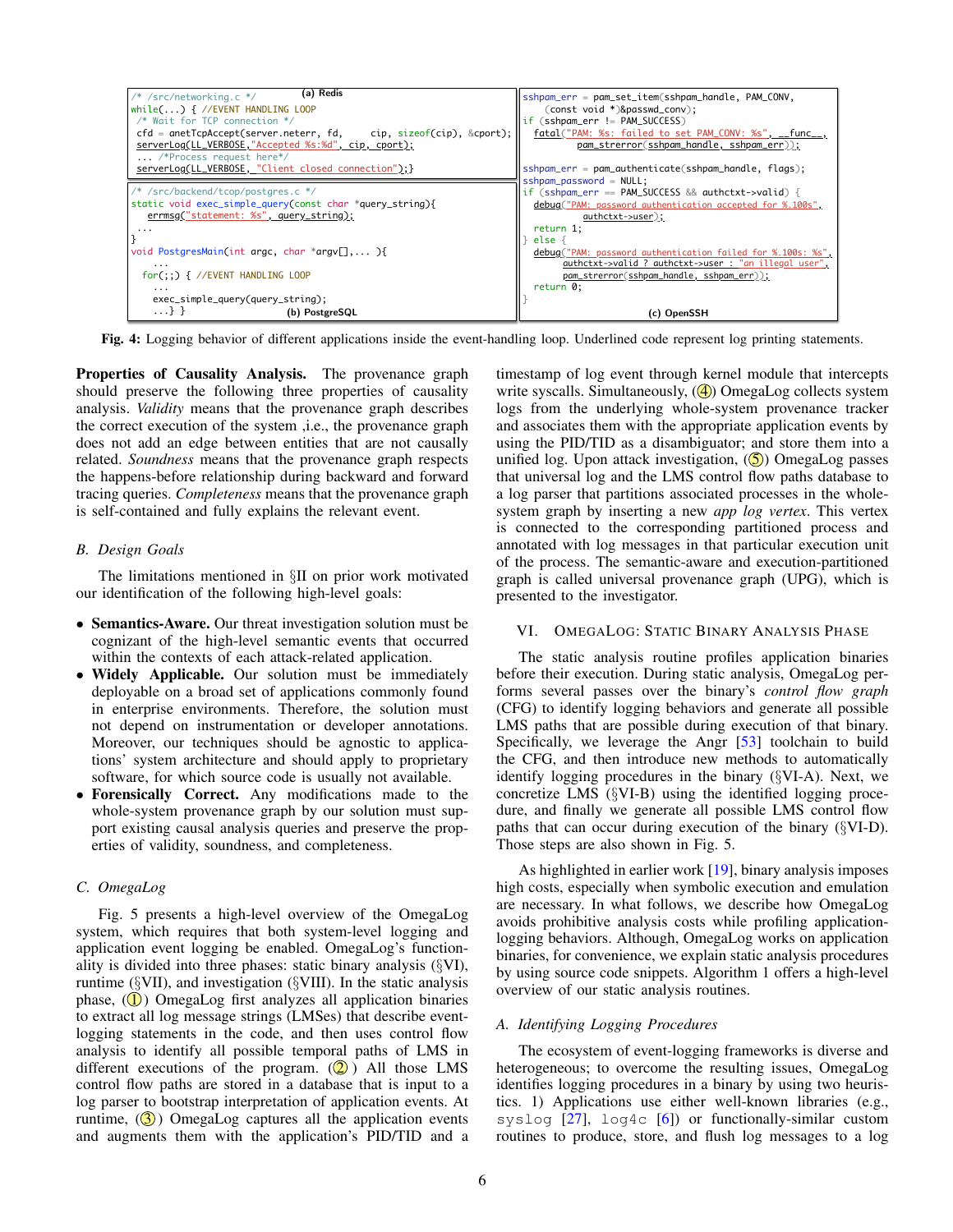<span id="page-5-0"></span>

| (a) Redis<br>/* /src/networking.c */<br>while() $\frac{1}{2}$ //EVENT HANDLING LOOP<br>/* Wait for TCP connection */<br>$\mathsf{cfd} = \mathsf{anetTopAccept}(\mathsf{server}.\mathsf{neterr},\mathsf{fd},\mathsf{cip},\mathsf{sizeof}(\mathsf{cip}),\&\mathsf{coprt});$<br>serverLog(LL_VERBOSE,"Accepted %s:%d", cip, cport);<br>/*Process request here*/ | sshpam_err = pam_set_item(sshpam_handle, PAM_CONV,<br>(const void *)&passwd_conv);<br>if (sshpam_err != PAM_SUCCESS)<br>fatal("PAM: %s: failed to set PAM_CONV: %s", __func__,<br>pam_strerror(sshpam_handle, sshpam_err));                                                                                                                                                   |
|--------------------------------------------------------------------------------------------------------------------------------------------------------------------------------------------------------------------------------------------------------------------------------------------------------------------------------------------------------------|-------------------------------------------------------------------------------------------------------------------------------------------------------------------------------------------------------------------------------------------------------------------------------------------------------------------------------------------------------------------------------|
| serverLog(LL_VERBOSE, "Client closed connection");}                                                                                                                                                                                                                                                                                                          | sshpam_err = pam_authenticate(sshpam_handle, flags);                                                                                                                                                                                                                                                                                                                          |
| /* /src/backend/tcop/postgres.c */<br>static void exec_simple_query(const char *query_string){<br>errmsg("statement: %s", query_string);<br>.<br>void PostgresMain(int argc, char *argv[], ){<br>$\cdots$<br>$for$ (;;) { //EVENT HANDLING LOOP<br>$\cdots$<br>exec_simple_query(query_string);                                                              | $sshpam_password = NULL;$<br>if (sshpam_err == PAM_SUCCESS && authctxt->valid) {<br>debug("PAM: password authentication accepted for %.100s",<br>authctxt->user);<br>return 1;<br>else $\{$<br>debug("PAM: password authentication failed for %.100s: %s",<br>authctxt->valid ? authctxt->user : "an illegal user",<br>pam_strerror(sshpam_handle, sshpam_err));<br>return 0; |
| $\ldots$ } }<br>(b) PostgreSQL                                                                                                                                                                                                                                                                                                                               | (c) OpenSSH                                                                                                                                                                                                                                                                                                                                                                   |

Fig. 4: Logging behavior of different applications inside the event-handling loop. Underlined code represent log printing statements.

Properties of Causality Analysis. The provenance graph should preserve the following three properties of causality analysis. *Validity* means that the provenance graph describes the correct execution of the system ,i.e., the provenance graph does not add an edge between entities that are not causally related. *Soundness* means that the provenance graph respects the happens-before relationship during backward and forward tracing queries. *Completeness* means that the provenance graph is self-contained and fully explains the relevant event.

## *B. Design Goals*

The limitations mentioned in §[II](#page-1-1) on prior work motivated our identification of the following high-level goals:

- Semantics-Aware. Our threat investigation solution must be cognizant of the high-level semantic events that occurred within the contexts of each attack-related application.
- Widely Applicable. Our solution must be immediately deployable on a broad set of applications commonly found in enterprise environments. Therefore, the solution must not depend on instrumentation or developer annotations. Moreover, our techniques should be agnostic to applications' system architecture and should apply to proprietary software, for which source code is usually not available.
- Forensically Correct. Any modifications made to the whole-system provenance graph by our solution must support existing causal analysis queries and preserve the properties of validity, soundness, and completeness.

## *C. OmegaLog*

Fig. [5](#page-6-0) presents a high-level overview of the OmegaLog system, which requires that both system-level logging and application event logging be enabled. OmegaLog's functionality is divided into three phases: static binary analysis (§[VI\)](#page-5-1), runtime (§[VII\)](#page-8-0), and investigation (§[VIII\)](#page-8-1). In the static analysis phase,  $(\mathbf{I})$  OmegaLog first analyzes all application binaries to extract all log message strings (LMSes) that describe eventlogging statements in the code, and then uses control flow analysis to identify all possible temporal paths of LMS in different executions of the program.  $(Q)$ ) All those LMS control flow paths are stored in a database that is input to a log parser to bootstrap interpretation of application events. At runtime,  $\left( \mathbf{\mathcal{S}} \right)$  OmegaLog captures all the application events and augments them with the application's PID/TID and a timestamp of log event through kernel module that intercepts write syscalls. Simultaneously,  $(\bigcirc$ ) OmegaLog collects system logs from the underlying whole-system provenance tracker and associates them with the appropriate application events by using the PID/TID as a disambiguator; and store them into a unified log. Upon attack investigation,  $(\overline{S})$  OmegaLog passes that universal log and the LMS control flow paths database to a log parser that partitions associated processes in the wholesystem graph by inserting a new *app log vertex*. This vertex is connected to the corresponding partitioned process and annotated with log messages in that particular execution unit of the process. The semantic-aware and execution-partitioned graph is called universal provenance graph (UPG), which is presented to the investigator.

## <span id="page-5-1"></span>VI. OMEGALOG: STATIC BINARY ANALYSIS PHASE

The static analysis routine profiles application binaries before their execution. During static analysis, OmegaLog performs several passes over the binary's *control flow graph* (CFG) to identify logging behaviors and generate all possible LMS paths that are possible during execution of that binary. Specifically, we leverage the Angr [\[53\]](#page-15-15) toolchain to build the CFG, and then introduce new methods to automatically identify logging procedures in the binary (§[VI-A\)](#page-5-2). Next, we concretize LMS (§[VI-B\)](#page-6-1) using the identified logging procedure, and finally we generate all possible LMS control flow paths that can occur during execution of the binary (§[VI-D\)](#page-7-0). Those steps are also shown in Fig. [5.](#page-6-0)

As highlighted in earlier work [\[19\]](#page-14-21), binary analysis imposes high costs, especially when symbolic execution and emulation are necessary. In what follows, we describe how OmegaLog avoids prohibitive analysis costs while profiling applicationlogging behaviors. Although, OmegaLog works on application binaries, for convenience, we explain static analysis procedures by using source code snippets. Algorithm [1](#page-7-1) offers a high-level overview of our static analysis routines.

## <span id="page-5-2"></span>*A. Identifying Logging Procedures*

The ecosystem of event-logging frameworks is diverse and heterogeneous; to overcome the resulting issues, OmegaLog identifies logging procedures in a binary by using two heuristics. 1) Applications use either well-known libraries (e.g., syslog  $[27]$ , log4c  $[6]$ ) or functionally-similar custom routines to produce, store, and flush log messages to a log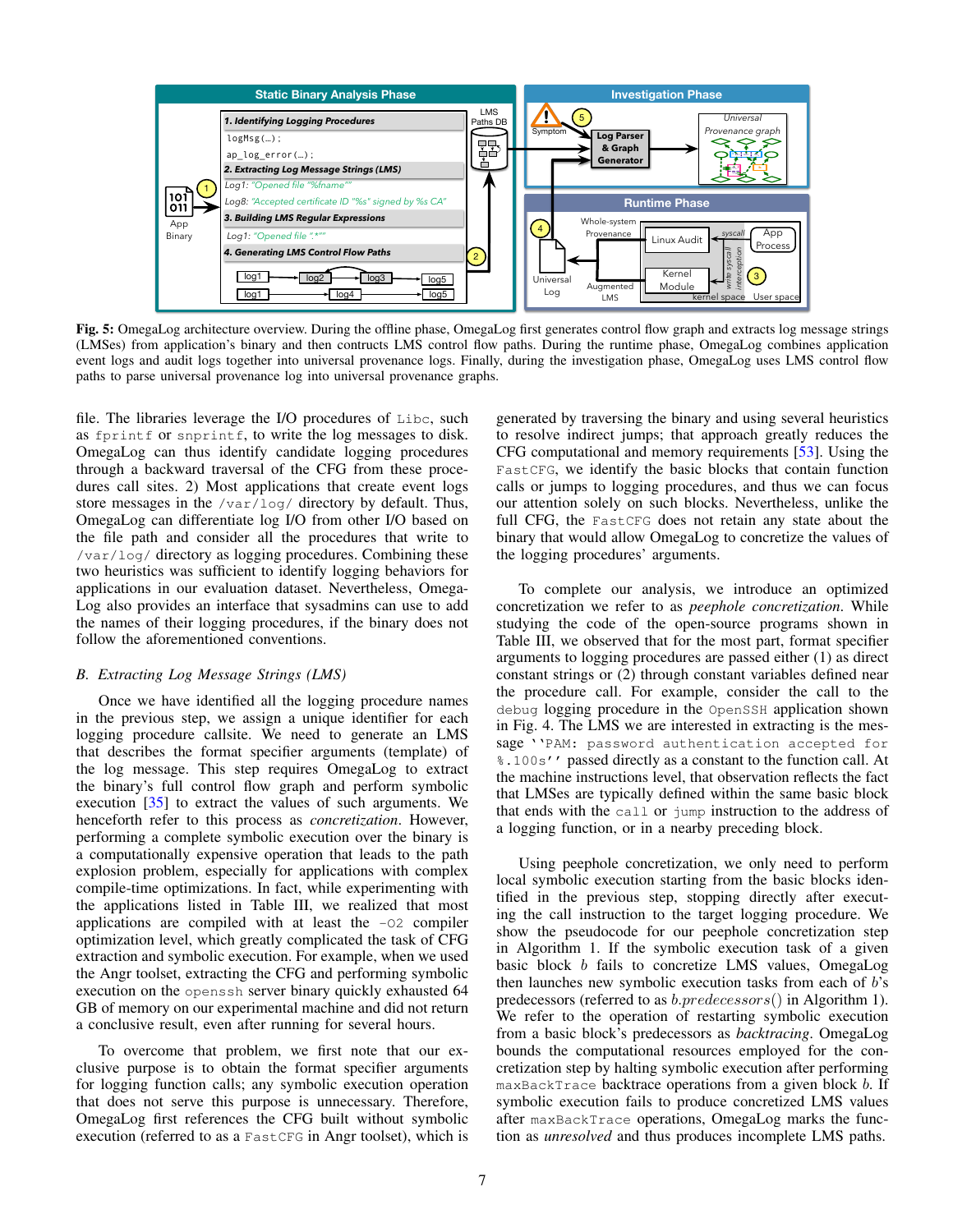<span id="page-6-0"></span>

Fig. 5: OmegaLog architecture overview. During the offline phase, OmegaLog first generates control flow graph and extracts log message strings (LMSes) from application's binary and then contructs LMS control flow paths. During the runtime phase, OmegaLog combines application event logs and audit logs together into universal provenance logs. Finally, during the investigation phase, OmegaLog uses LMS control flow paths to parse universal provenance log into universal provenance graphs.

file. The libraries leverage the I/O procedures of Libc, such as fprintf or snprintf, to write the log messages to disk. OmegaLog can thus identify candidate logging procedures through a backward traversal of the CFG from these procedures call sites. 2) Most applications that create event logs store messages in the /var/log/ directory by default. Thus, OmegaLog can differentiate log I/O from other I/O based on the file path and consider all the procedures that write to /var/log/ directory as logging procedures. Combining these two heuristics was sufficient to identify logging behaviors for applications in our evaluation dataset. Nevertheless, Omega-Log also provides an interface that sysadmins can use to add the names of their logging procedures, if the binary does not follow the aforementioned conventions.

### <span id="page-6-1"></span>*B. Extracting Log Message Strings (LMS)*

Once we have identified all the logging procedure names in the previous step, we assign a unique identifier for each logging procedure callsite. We need to generate an LMS that describes the format specifier arguments (template) of the log message. This step requires OmegaLog to extract the binary's full control flow graph and perform symbolic execution [\[35\]](#page-14-24) to extract the values of such arguments. We henceforth refer to this process as *concretization*. However, performing a complete symbolic execution over the binary is a computationally expensive operation that leads to the path explosion problem, especially for applications with complex compile-time optimizations. In fact, while experimenting with the applications listed in Table [III,](#page-11-0) we realized that most applications are compiled with at least the -O2 compiler optimization level, which greatly complicated the task of CFG extraction and symbolic execution. For example, when we used the Angr toolset, extracting the CFG and performing symbolic execution on the openssh server binary quickly exhausted 64 GB of memory on our experimental machine and did not return a conclusive result, even after running for several hours.

To overcome that problem, we first note that our exclusive purpose is to obtain the format specifier arguments for logging function calls; any symbolic execution operation that does not serve this purpose is unnecessary. Therefore, OmegaLog first references the CFG built without symbolic execution (referred to as a FastCFG in Angr toolset), which is generated by traversing the binary and using several heuristics to resolve indirect jumps; that approach greatly reduces the CFG computational and memory requirements [\[53\]](#page-15-15). Using the FastCFG, we identify the basic blocks that contain function calls or jumps to logging procedures, and thus we can focus our attention solely on such blocks. Nevertheless, unlike the full CFG, the FastCFG does not retain any state about the binary that would allow OmegaLog to concretize the values of the logging procedures' arguments.

To complete our analysis, we introduce an optimized concretization we refer to as *peephole concretization*. While studying the code of the open-source programs shown in Table [III,](#page-11-0) we observed that for the most part, format specifier arguments to logging procedures are passed either (1) as direct constant strings or (2) through constant variables defined near the procedure call. For example, consider the call to the debug logging procedure in the OpenSSH application shown in Fig. [4.](#page-5-0) The LMS we are interested in extracting is the message ''PAM: password authentication accepted for %.100s'' passed directly as a constant to the function call. At the machine instructions level, that observation reflects the fact that LMSes are typically defined within the same basic block that ends with the call or jump instruction to the address of a logging function, or in a nearby preceding block.

Using peephole concretization, we only need to perform local symbolic execution starting from the basic blocks identified in the previous step, stopping directly after executing the call instruction to the target logging procedure. We show the pseudocode for our peephole concretization step in Algorithm [1.](#page-7-1) If the symbolic execution task of a given basic block b fails to concretize LMS values, OmegaLog then launches new symbolic execution tasks from each of b's predecessors (referred to as b.predecessors() in Algorithm [1\)](#page-7-1). We refer to the operation of restarting symbolic execution from a basic block's predecessors as *backtracing*. OmegaLog bounds the computational resources employed for the concretization step by halting symbolic execution after performing maxBackTrace backtrace operations from a given block b. If symbolic execution fails to produce concretized LMS values after maxBackTrace operations, OmegaLog marks the function as *unresolved* and thus produces incomplete LMS paths.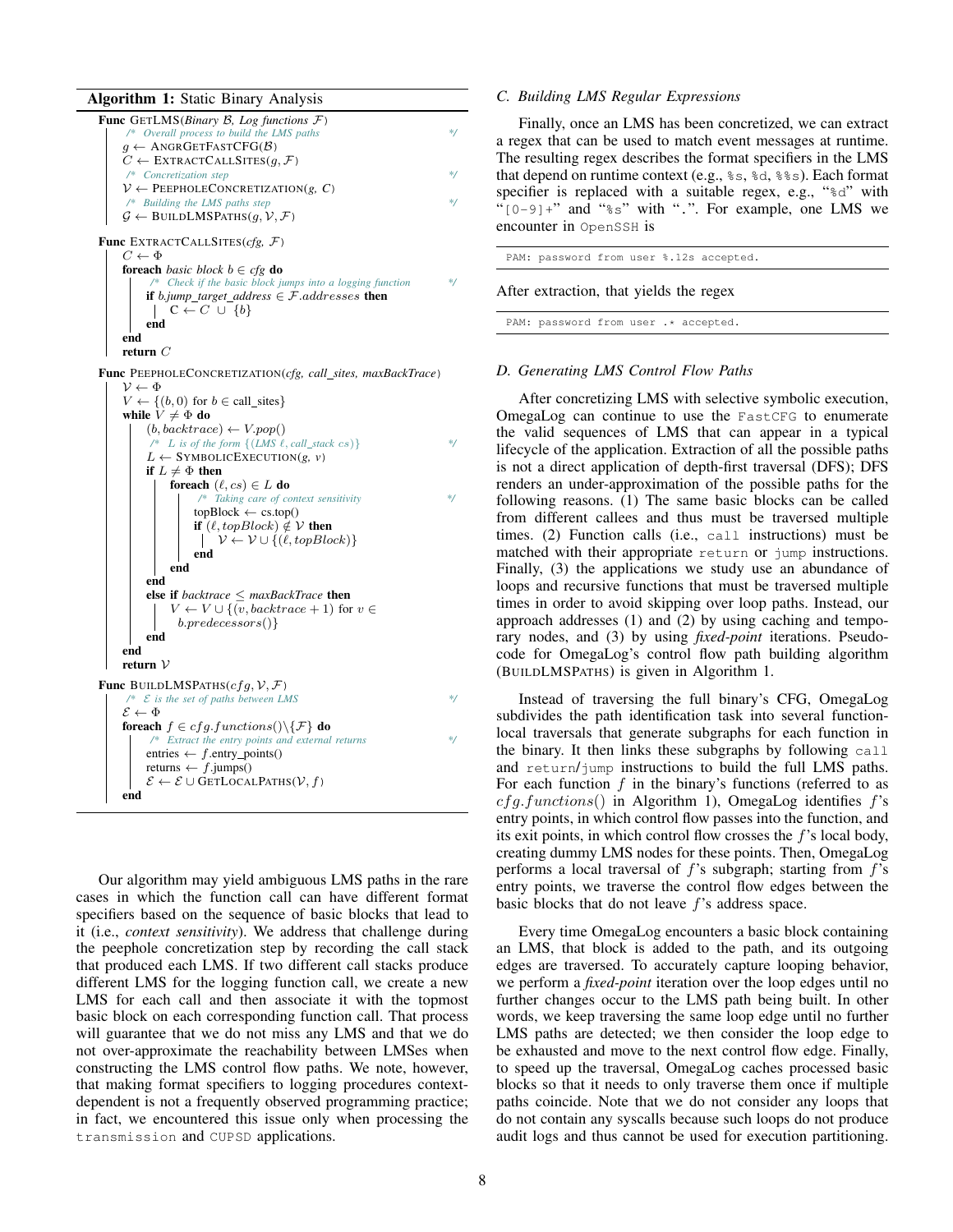Algorithm 1: Static Binary Analysis Func GETLMS(*Binary* B*, Log functions* F) */\* Overall process to build the LMS paths \*/*  $g \leftarrow$  ANGRGETFASTCFG( $\beta$ )  $C \leftarrow$  EXTRACTCALLSITES $(q, \mathcal{F})$ */\* Concretization step \*/*  $V \leftarrow$  PEEPHOLECONCRETIZATION(*g, C*) */\* Building the LMS paths step \*/*  $\mathcal{G} \leftarrow$  BUILDLMSPATHS $(q, \mathcal{V}, \mathcal{F})$ Func EXTRACTCALLSITES(*cfg,* F)  $C \leftarrow \Phi$ foreach *basic block* b ∈ *cfg* do */\* Check if the basic block jumps into a logging function \*/* if  $b$ *,jump\_target\_address*  $\in$   $F$ *.addresses* then  $\vert \quad C \leftarrow C \cup \{b\}$ end end return  $\mathcal C$ 

Func PEEPHOLECONCRETIZATION(*cfg, call sites, maxBackTrace*)

```
\nu \leftarrow \PhiV \leftarrow \{(b, 0) \text{ for } b \in \text{call\_sites}\}\while V \neq \Phi do
          (b, backtrace) \leftarrow V.pop()L is of the form \{(LMS \ell, call\_stack \ cs)\}\ */
           L \leftarrow SYMBOLICEXECUTION(g, v)
          if L \neq \Phi then
                foreach (\ell, cs) \in L do
                      /* Taking care of context sensitivity */
                      topBlock \leftarrow cs.top()if (\ell, topBlock) \notin V then
                       \bigcup \mathcal{V} \leftarrow \mathcal{V} \cup \{(\ell, topBlock)\}end
                end
           end
           else if backtrace ≤ maxBackTrace then
                V \leftarrow V \cup \{v, backtrace + 1\} for v \inb.predecessors()}
          end
     end
     return V
Func BUILDLMSPATHS(cfg, V, F)/* E is the set of paths between LMS */
     \mathcal{E} \leftarrow \Phiforeach f \in cfg.functions() \backslash \{F\} do
            /* Extract the entry points and external returns */
          entries \leftarrow f.entry_points()
          returns \leftarrow f.jumps()
          \mathcal{E} \leftarrow \mathcal{E} \cup GETLOCALPATHS(V, f)
     end
```
<span id="page-7-1"></span>Our algorithm may yield ambiguous LMS paths in the rare cases in which the function call can have different format specifiers based on the sequence of basic blocks that lead to it (i.e., *context sensitivity*). We address that challenge during the peephole concretization step by recording the call stack that produced each LMS. If two different call stacks produce different LMS for the logging function call, we create a new LMS for each call and then associate it with the topmost basic block on each corresponding function call. That process will guarantee that we do not miss any LMS and that we do not over-approximate the reachability between LMSes when constructing the LMS control flow paths. We note, however, that making format specifiers to logging procedures contextdependent is not a frequently observed programming practice; in fact, we encountered this issue only when processing the transmission and CUPSD applications.

#### *C. Building LMS Regular Expressions*

Finally, once an LMS has been concretized, we can extract a regex that can be used to match event messages at runtime. The resulting regex describes the format specifiers in the LMS that depend on runtime context (e.g.,  $\epsilon$ s,  $\epsilon$ d,  $\epsilon$  $\epsilon$ s). Each format specifier is replaced with a suitable regex, e.g., "<sup>§d</sup>" with " $[0-9]+$ " and " $\frac{1}{6}$ " with ".". For example, one LMS we encounter in OpenSSH is

PAM: password from user %.12s accepted.

After extraction, that yields the regex

PAM: password from user .\* accepted.

#### <span id="page-7-0"></span>*D. Generating LMS Control Flow Paths*

After concretizing LMS with selective symbolic execution, OmegaLog can continue to use the FastCFG to enumerate the valid sequences of LMS that can appear in a typical lifecycle of the application. Extraction of all the possible paths is not a direct application of depth-first traversal (DFS); DFS renders an under-approximation of the possible paths for the following reasons. (1) The same basic blocks can be called from different callees and thus must be traversed multiple times. (2) Function calls (i.e., call instructions) must be matched with their appropriate return or jump instructions. Finally, (3) the applications we study use an abundance of loops and recursive functions that must be traversed multiple times in order to avoid skipping over loop paths. Instead, our approach addresses (1) and (2) by using caching and temporary nodes, and (3) by using *fixed-point* iterations. Pseudocode for OmegaLog's control flow path building algorithm (BUILDLMSPATHS) is given in Algorithm [1.](#page-7-1)

Instead of traversing the full binary's CFG, OmegaLog subdivides the path identification task into several functionlocal traversals that generate subgraphs for each function in the binary. It then links these subgraphs by following call and return/jump instructions to build the full LMS paths. For each function  $f$  in the binary's functions (referred to as  $cfg.functions()$  in Algorithm [1\)](#page-7-1), OmegaLog identifies  $f's$ entry points, in which control flow passes into the function, and its exit points, in which control flow crosses the f's local body, creating dummy LMS nodes for these points. Then, OmegaLog performs a local traversal of  $f$ 's subgraph; starting from  $f$ 's entry points, we traverse the control flow edges between the basic blocks that do not leave f's address space.

Every time OmegaLog encounters a basic block containing an LMS, that block is added to the path, and its outgoing edges are traversed. To accurately capture looping behavior, we perform a *fixed-point* iteration over the loop edges until no further changes occur to the LMS path being built. In other words, we keep traversing the same loop edge until no further LMS paths are detected; we then consider the loop edge to be exhausted and move to the next control flow edge. Finally, to speed up the traversal, OmegaLog caches processed basic blocks so that it needs to only traverse them once if multiple paths coincide. Note that we do not consider any loops that do not contain any syscalls because such loops do not produce audit logs and thus cannot be used for execution partitioning.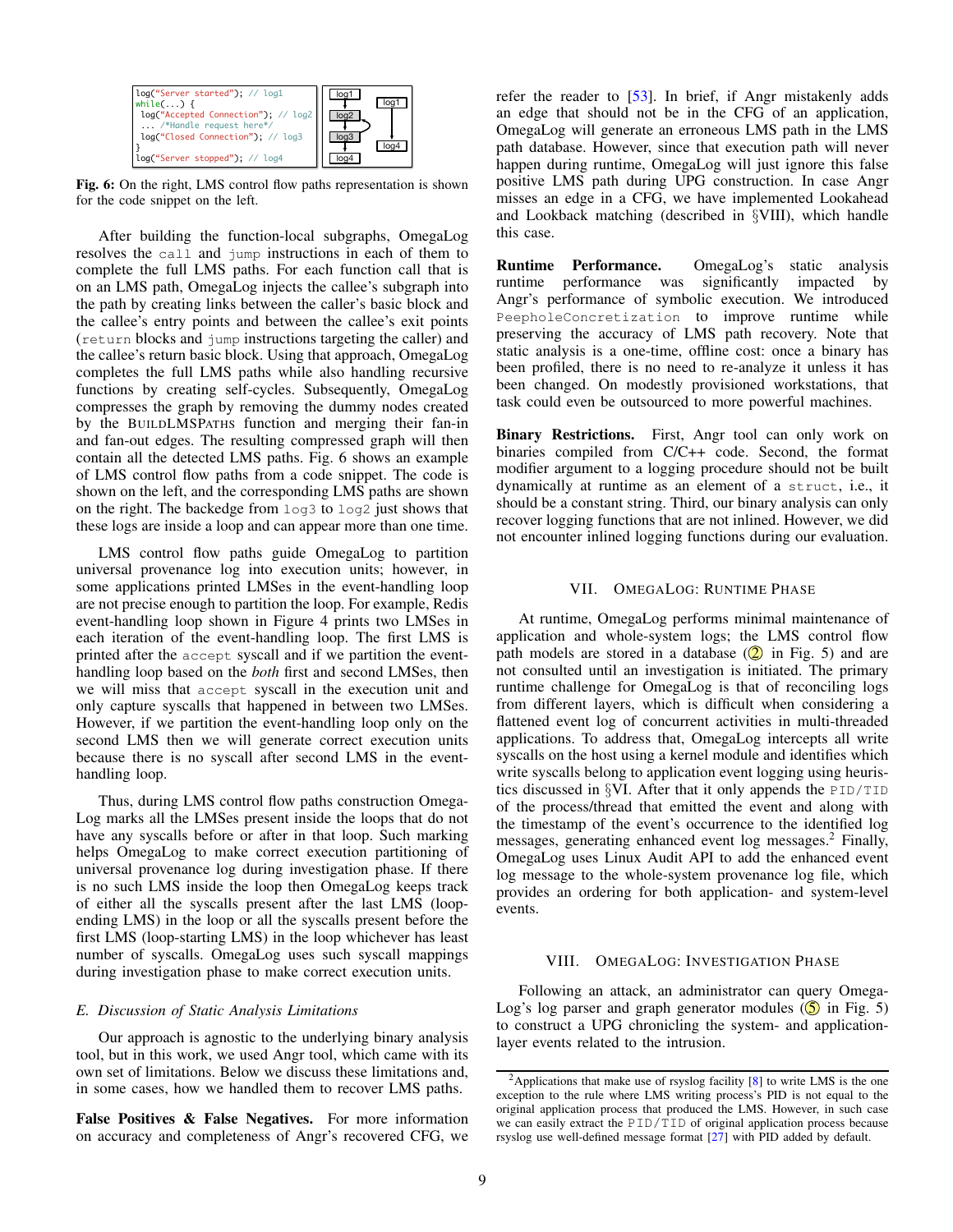<span id="page-8-2"></span>

Fig. 6: On the right, LMS control flow paths representation is shown for the code snippet on the left.

After building the function-local subgraphs, OmegaLog resolves the call and jump instructions in each of them to complete the full LMS paths. For each function call that is on an LMS path, OmegaLog injects the callee's subgraph into the path by creating links between the caller's basic block and the callee's entry points and between the callee's exit points (return blocks and jump instructions targeting the caller) and the callee's return basic block. Using that approach, OmegaLog completes the full LMS paths while also handling recursive functions by creating self-cycles. Subsequently, OmegaLog compresses the graph by removing the dummy nodes created by the BUILDLMSPATHS function and merging their fan-in and fan-out edges. The resulting compressed graph will then contain all the detected LMS paths. Fig. [6](#page-8-2) shows an example of LMS control flow paths from a code snippet. The code is shown on the left, and the corresponding LMS paths are shown on the right. The backedge from log3 to log2 just shows that these logs are inside a loop and can appear more than one time.

LMS control flow paths guide OmegaLog to partition universal provenance log into execution units; however, in some applications printed LMSes in the event-handling loop are not precise enough to partition the loop. For example, Redis event-handling loop shown in Figure [4](#page-5-0) prints two LMSes in each iteration of the event-handling loop. The first LMS is printed after the accept syscall and if we partition the eventhandling loop based on the *both* first and second LMSes, then we will miss that accept syscall in the execution unit and only capture syscalls that happened in between two LMSes. However, if we partition the event-handling loop only on the second LMS then we will generate correct execution units because there is no syscall after second LMS in the eventhandling loop.

Thus, during LMS control flow paths construction Omega-Log marks all the LMSes present inside the loops that do not have any syscalls before or after in that loop. Such marking helps OmegaLog to make correct execution partitioning of universal provenance log during investigation phase. If there is no such LMS inside the loop then OmegaLog keeps track of either all the syscalls present after the last LMS (loopending LMS) in the loop or all the syscalls present before the first LMS (loop-starting LMS) in the loop whichever has least number of syscalls. OmegaLog uses such syscall mappings during investigation phase to make correct execution units.

#### *E. Discussion of Static Analysis Limitations*

Our approach is agnostic to the underlying binary analysis tool, but in this work, we used Angr tool, which came with its own set of limitations. Below we discuss these limitations and, in some cases, how we handled them to recover LMS paths.

False Positives & False Negatives. For more information on accuracy and completeness of Angr's recovered CFG, we refer the reader to [\[53\]](#page-15-15). In brief, if Angr mistakenly adds an edge that should not be in the CFG of an application, OmegaLog will generate an erroneous LMS path in the LMS path database. However, since that execution path will never happen during runtime, OmegaLog will just ignore this false positive LMS path during UPG construction. In case Angr misses an edge in a CFG, we have implemented Lookahead and Lookback matching (described in §[VIII\)](#page-8-1), which handle this case.

Runtime Performance. OmegaLog's static analysis runtime performance was significantly impacted by Angr's performance of symbolic execution. We introduced PeepholeConcretization to improve runtime while preserving the accuracy of LMS path recovery. Note that static analysis is a one-time, offline cost: once a binary has been profiled, there is no need to re-analyze it unless it has been changed. On modestly provisioned workstations, that task could even be outsourced to more powerful machines.

Binary Restrictions. First, Angr tool can only work on binaries compiled from C/C++ code. Second, the format modifier argument to a logging procedure should not be built dynamically at runtime as an element of a struct, i.e., it should be a constant string. Third, our binary analysis can only recover logging functions that are not inlined. However, we did not encounter inlined logging functions during our evaluation.

#### VII. OMEGALOG: RUNTIME PHASE

<span id="page-8-0"></span>At runtime, OmegaLog performs minimal maintenance of application and whole-system logs; the LMS control flow path models are stored in a database  $(2)$  in Fig. [5\)](#page-6-0) and are not consulted until an investigation is initiated. The primary runtime challenge for OmegaLog is that of reconciling logs from different layers, which is difficult when considering a flattened event log of concurrent activities in multi-threaded applications. To address that, OmegaLog intercepts all write syscalls on the host using a kernel module and identifies which write syscalls belong to application event logging using heuristics discussed in §[VI.](#page-5-1) After that it only appends the PID/TID of the process/thread that emitted the event and along with the timestamp of the event's occurrence to the identified log messages, generating enhanced event  $log$  messages.<sup>[2](#page-8-3)</sup> Finally, OmegaLog uses Linux Audit API to add the enhanced event log message to the whole-system provenance log file, which provides an ordering for both application- and system-level events.

#### VIII. OMEGALOG: INVESTIGATION PHASE

<span id="page-8-1"></span>Following an attack, an administrator can query Omega-Log's log parser and graph generator modules  $(5 \text{ in Fig. 5})$ to construct a UPG chronicling the system- and applicationlayer events related to the intrusion.

<span id="page-8-3"></span><sup>&</sup>lt;sup>2</sup>Applications that make use of rsyslog facility  $[8]$  to write LMS is the one exception to the rule where LMS writing process's PID is not equal to the original application process that produced the LMS. However, in such case we can easily extract the PID/TID of original application process because rsyslog use well-defined message format [\[27\]](#page-14-22) with PID added by default.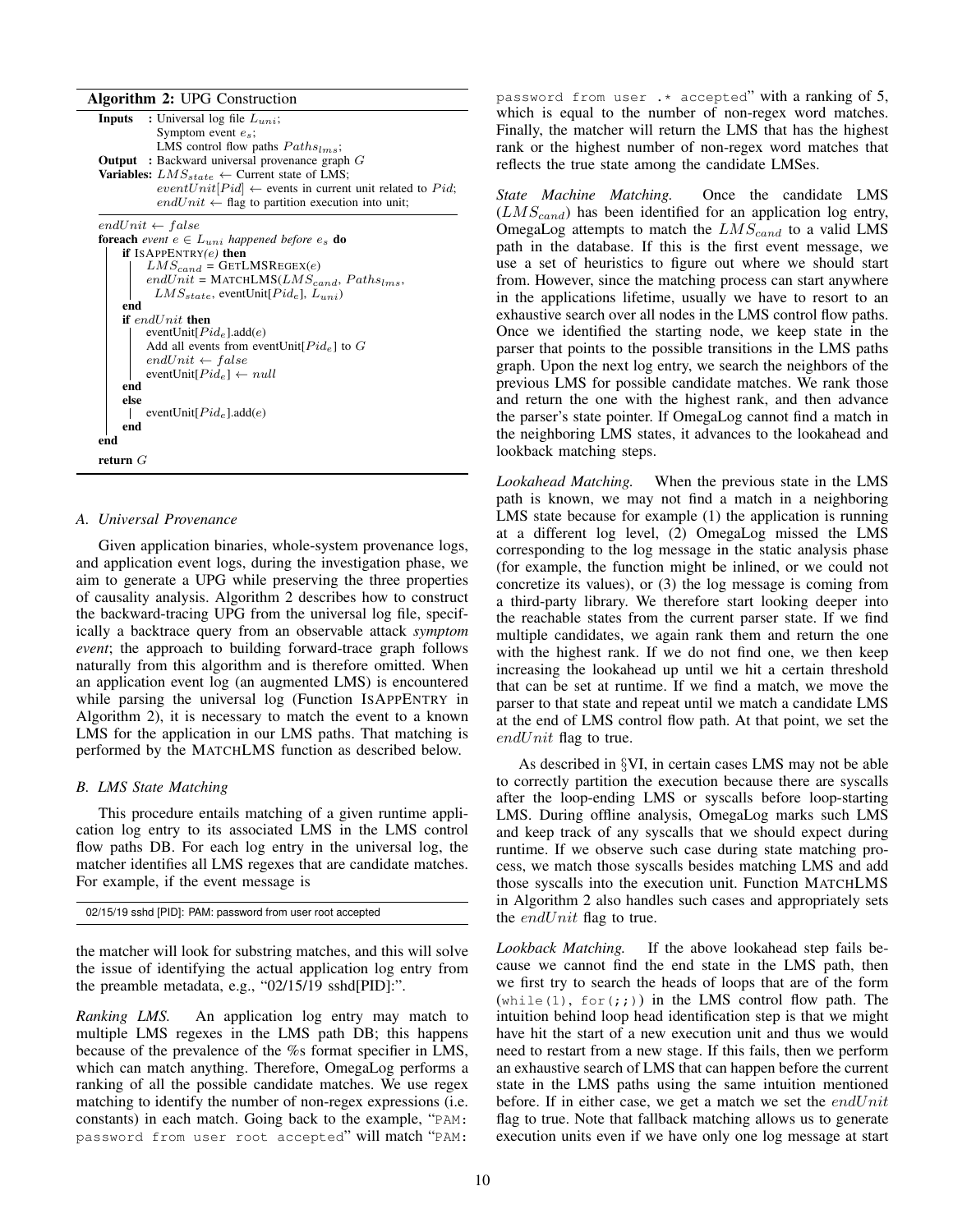Algorithm 2: UPG Construction

| o                                                                    |  |  |  |  |  |  |
|----------------------------------------------------------------------|--|--|--|--|--|--|
| <b>Inputs</b> : Universal log file $L_{uni}$ ;                       |  |  |  |  |  |  |
| Symptom event $e_s$ ;                                                |  |  |  |  |  |  |
| LMS control flow paths $Paths_{lms}$ ;                               |  |  |  |  |  |  |
| <b>Output</b> : Backward universal provenance graph $G$              |  |  |  |  |  |  |
| <b>Variables:</b> $LMS_{state} \leftarrow$ Current state of LMS;     |  |  |  |  |  |  |
| $eventUnit[Pid] \leftarrow$ events in current unit related to Pid;   |  |  |  |  |  |  |
| $endUnit \leftarrow$ flag to partition execution into unit;          |  |  |  |  |  |  |
|                                                                      |  |  |  |  |  |  |
| $endUnit \leftarrow false$                                           |  |  |  |  |  |  |
| <b>foreach</b> event $e \in L_{uni}$ happened before $e_s$ <b>do</b> |  |  |  |  |  |  |
| if ISAPPENTRY $(e)$ then                                             |  |  |  |  |  |  |
| $LMS_{cand}$ = GETLMSREGEX(e)                                        |  |  |  |  |  |  |
| $endUnit = \text{MATCHLMS}(LMS_{cand}, Paths_{lms},$                 |  |  |  |  |  |  |
| $LMS_{state}$ , eventUnit $[Pid_e]$ , $L_{uni}$ )                    |  |  |  |  |  |  |
| end                                                                  |  |  |  |  |  |  |
| if $endUnit$ then                                                    |  |  |  |  |  |  |
| eventUnit $[Pid_e]$ .add $(e)$                                       |  |  |  |  |  |  |
| Add all events from eventUnit $[Pid_e]$ to G                         |  |  |  |  |  |  |
| $endUnit \leftarrow false$                                           |  |  |  |  |  |  |
| eventUnit $[Pid_e] \leftarrow null$                                  |  |  |  |  |  |  |
| end                                                                  |  |  |  |  |  |  |
| else                                                                 |  |  |  |  |  |  |
| eventUnit $[Pid_e]$ .add $(e)$                                       |  |  |  |  |  |  |
| end                                                                  |  |  |  |  |  |  |
| end                                                                  |  |  |  |  |  |  |
|                                                                      |  |  |  |  |  |  |
| return $G$                                                           |  |  |  |  |  |  |

#### <span id="page-9-0"></span>*A. Universal Provenance*

Given application binaries, whole-system provenance logs, and application event logs, during the investigation phase, we aim to generate a UPG while preserving the three properties of causality analysis. Algorithm [2](#page-9-0) describes how to construct the backward-tracing UPG from the universal log file, specifically a backtrace query from an observable attack *symptom event*; the approach to building forward-trace graph follows naturally from this algorithm and is therefore omitted. When an application event log (an augmented LMS) is encountered while parsing the universal log (Function ISAPPENTRY in Algorithm [2\)](#page-9-0), it is necessary to match the event to a known LMS for the application in our LMS paths. That matching is performed by the MATCHLMS function as described below.

#### *B. LMS State Matching*

This procedure entails matching of a given runtime application log entry to its associated LMS in the LMS control flow paths DB. For each log entry in the universal log, the matcher identifies all LMS regexes that are candidate matches. For example, if the event message is

02/15/19 sshd [PID]: PAM: password from user root accepted

the matcher will look for substring matches, and this will solve the issue of identifying the actual application log entry from the preamble metadata, e.g., "02/15/19 sshd[PID]:".

*Ranking LMS.* An application log entry may match to multiple LMS regexes in the LMS path DB; this happens because of the prevalence of the %s format specifier in LMS, which can match anything. Therefore, OmegaLog performs a ranking of all the possible candidate matches. We use regex matching to identify the number of non-regex expressions (i.e. constants) in each match. Going back to the example, "PAM: password from user root accepted" will match "PAM:

password from user  $.*$  accepted" with a ranking of 5, which is equal to the number of non-regex word matches. Finally, the matcher will return the LMS that has the highest rank or the highest number of non-regex word matches that reflects the true state among the candidate LMSes.

*State Machine Matching.* Once the candidate LMS  $(LMS_{cand})$  has been identified for an application log entry, OmegaLog attempts to match the  $LMS_{cand}$  to a valid LMS path in the database. If this is the first event message, we use a set of heuristics to figure out where we should start from. However, since the matching process can start anywhere in the applications lifetime, usually we have to resort to an exhaustive search over all nodes in the LMS control flow paths. Once we identified the starting node, we keep state in the parser that points to the possible transitions in the LMS paths graph. Upon the next log entry, we search the neighbors of the previous LMS for possible candidate matches. We rank those and return the one with the highest rank, and then advance the parser's state pointer. If OmegaLog cannot find a match in the neighboring LMS states, it advances to the lookahead and lookback matching steps.

*Lookahead Matching.* When the previous state in the LMS path is known, we may not find a match in a neighboring LMS state because for example (1) the application is running at a different log level, (2) OmegaLog missed the LMS corresponding to the log message in the static analysis phase (for example, the function might be inlined, or we could not concretize its values), or (3) the log message is coming from a third-party library. We therefore start looking deeper into the reachable states from the current parser state. If we find multiple candidates, we again rank them and return the one with the highest rank. If we do not find one, we then keep increasing the lookahead up until we hit a certain threshold that can be set at runtime. If we find a match, we move the parser to that state and repeat until we match a candidate LMS at the end of LMS control flow path. At that point, we set the  $endUnit$  flag to true.

As described in §[VI,](#page-5-1) in certain cases LMS may not be able to correctly partition the execution because there are syscalls after the loop-ending LMS or syscalls before loop-starting LMS. During offline analysis, OmegaLog marks such LMS and keep track of any syscalls that we should expect during runtime. If we observe such case during state matching process, we match those syscalls besides matching LMS and add those syscalls into the execution unit. Function MATCHLMS in Algorithm [2](#page-9-0) also handles such cases and appropriately sets the *end*Unit flag to true.

*Lookback Matching.* If the above lookahead step fails because we cannot find the end state in the LMS path, then we first try to search the heads of loops that are of the form  $(\text{while}(1), \text{for}(j))$  in the LMS control flow path. The intuition behind loop head identification step is that we might have hit the start of a new execution unit and thus we would need to restart from a new stage. If this fails, then we perform an exhaustive search of LMS that can happen before the current state in the LMS paths using the same intuition mentioned before. If in either case, we get a match we set the  $endUnit$ flag to true. Note that fallback matching allows us to generate execution units even if we have only one log message at start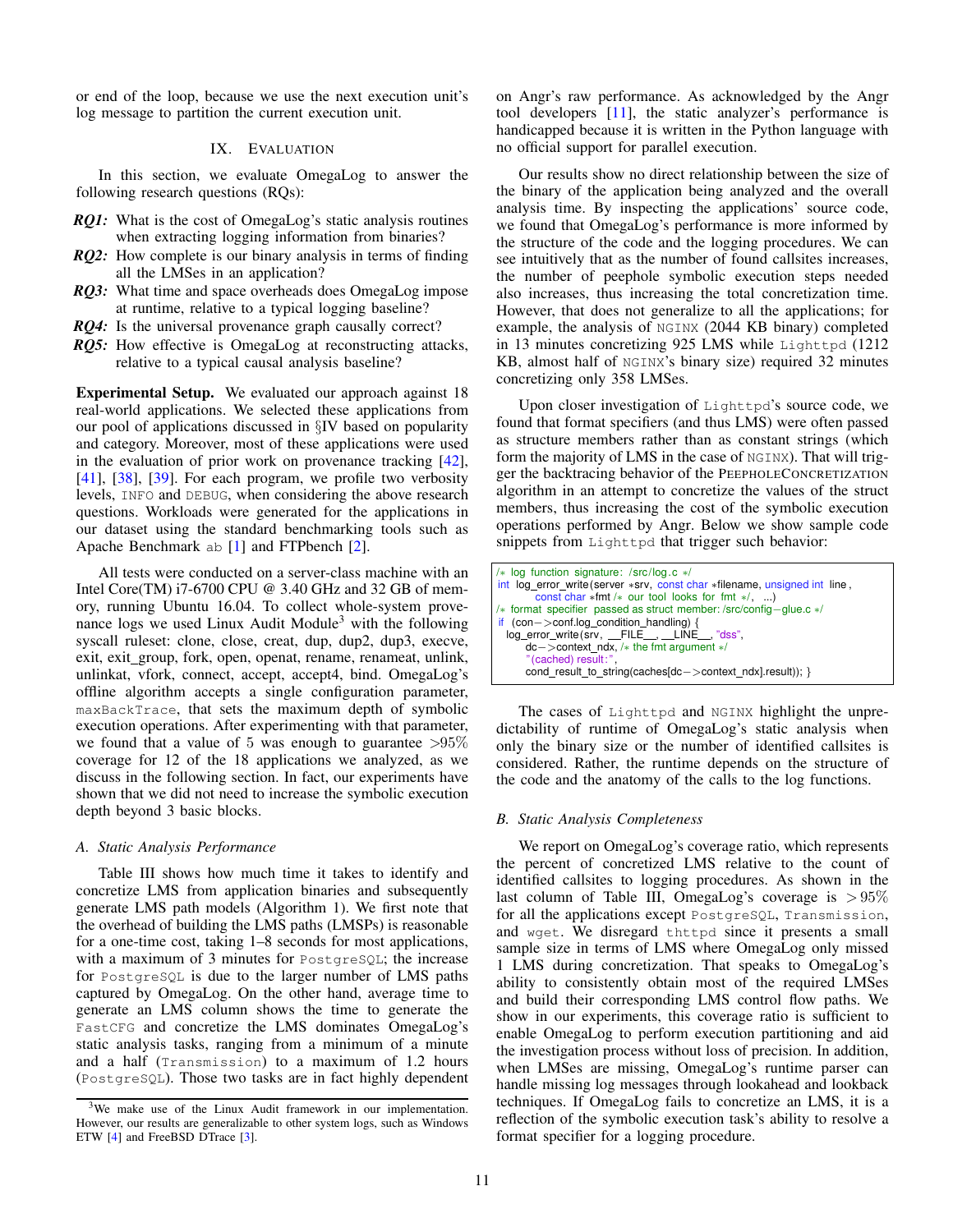or end of the loop, because we use the next execution unit's log message to partition the current execution unit.

#### IX. EVALUATION

<span id="page-10-1"></span>In this section, we evaluate OmegaLog to answer the following research questions (RQs):

- *RQ1*: What is the cost of OmegaLog's static analysis routines when extracting logging information from binaries?
- *RQ2*: How complete is our binary analysis in terms of finding all the LMSes in an application?
- *RQ3:* What time and space overheads does OmegaLog impose at runtime, relative to a typical logging baseline?
- *RQ4*: Is the universal provenance graph causally correct?
- *RQ5:* How effective is OmegaLog at reconstructing attacks, relative to a typical causal analysis baseline?

Experimental Setup. We evaluated our approach against 18 real-world applications. We selected these applications from our pool of applications discussed in §[IV](#page-4-2) based on popularity and category. Moreover, most of these applications were used in the evaluation of prior work on provenance tracking [\[42\]](#page-15-3), [\[41\]](#page-15-4), [\[38\]](#page-14-16), [\[39\]](#page-14-11). For each program, we profile two verbosity levels, INFO and DEBUG, when considering the above research questions. Workloads were generated for the applications in our dataset using the standard benchmarking tools such as Apache Benchmark ab [\[1\]](#page-14-26) and FTPbench [\[2\]](#page-14-27).

All tests were conducted on a server-class machine with an Intel Core(TM) i7-6700 CPU @ 3.40 GHz and 32 GB of memory, running Ubuntu 16.04. To collect whole-system prove-nance logs we used Linux Audit Module<sup>[3](#page-10-0)</sup> with the following syscall ruleset: clone, close, creat, dup, dup2, dup3, execve, exit, exit\_group, fork, open, openat, rename, renameat, unlink, unlinkat, vfork, connect, accept, accept4, bind. OmegaLog's offline algorithm accepts a single configuration parameter, maxBackTrace, that sets the maximum depth of symbolic execution operations. After experimenting with that parameter, we found that a value of 5 was enough to guarantee  $>95\%$ coverage for 12 of the 18 applications we analyzed, as we discuss in the following section. In fact, our experiments have shown that we did not need to increase the symbolic execution depth beyond 3 basic blocks.

## *A. Static Analysis Performance*

Table [III](#page-11-0) shows how much time it takes to identify and concretize LMS from application binaries and subsequently generate LMS path models (Algorithm [1\)](#page-7-1). We first note that the overhead of building the LMS paths (LMSPs) is reasonable for a one-time cost, taking 1–8 seconds for most applications, with a maximum of 3 minutes for PostgreSQL; the increase for PostgreSQL is due to the larger number of LMS paths captured by OmegaLog. On the other hand, average time to generate an LMS column shows the time to generate the FastCFG and concretize the LMS dominates OmegaLog's static analysis tasks, ranging from a minimum of a minute and a half (Transmission) to a maximum of 1.2 hours (PostgreSQL). Those two tasks are in fact highly dependent on Angr's raw performance. As acknowledged by the Angr tool developers [\[11\]](#page-14-30), the static analyzer's performance is handicapped because it is written in the Python language with no official support for parallel execution.

Our results show no direct relationship between the size of the binary of the application being analyzed and the overall analysis time. By inspecting the applications' source code, we found that OmegaLog's performance is more informed by the structure of the code and the logging procedures. We can see intuitively that as the number of found callsites increases, the number of peephole symbolic execution steps needed also increases, thus increasing the total concretization time. However, that does not generalize to all the applications; for example, the analysis of NGINX (2044 KB binary) completed in 13 minutes concretizing 925 LMS while Lighttpd (1212 KB, almost half of NGINX's binary size) required 32 minutes concretizing only 358 LMSes.

Upon closer investigation of Lighttpd's source code, we found that format specifiers (and thus LMS) were often passed as structure members rather than as constant strings (which form the majority of LMS in the case of NGINX). That will trigger the backtracing behavior of the PEEPHOLECONCRETIZATION algorithm in an attempt to concretize the values of the struct members, thus increasing the cost of the symbolic execution operations performed by Angr. Below we show sample code snippets from Lighttpd that trigger such behavior:

```
/∗ log function signature: /src/log.c ∗/
int log error write (server ∗srv, const char ∗filename, unsigned int line ,
const char ∗fmt /∗ our tool looks for fmt ∗/, ...)
/∗ format specifier passed as struct member: /src/config−glue.c ∗/
if (con−>conf.log condition handling) {
 log_error_write (srv, __FILE__, __LINE__, "dss",
      dc−>context ndx, /∗ the fmt argument ∗/
       (cached) result:
      cond_result_to_string(caches[dc->context_ndx].result)); }
```
The cases of Lighttpd and NGINX highlight the unpredictability of runtime of OmegaLog's static analysis when only the binary size or the number of identified callsites is considered. Rather, the runtime depends on the structure of the code and the anatomy of the calls to the log functions.

#### *B. Static Analysis Completeness*

We report on OmegaLog's coverage ratio, which represents the percent of concretized LMS relative to the count of identified callsites to logging procedures. As shown in the last column of Table [III,](#page-11-0) OmegaLog's coverage is  $> 95\%$ for all the applications except PostgreSQL, Transmission, and wget. We disregard thttpd since it presents a small sample size in terms of LMS where OmegaLog only missed 1 LMS during concretization. That speaks to OmegaLog's ability to consistently obtain most of the required LMSes and build their corresponding LMS control flow paths. We show in our experiments, this coverage ratio is sufficient to enable OmegaLog to perform execution partitioning and aid the investigation process without loss of precision. In addition, when LMSes are missing, OmegaLog's runtime parser can handle missing log messages through lookahead and lookback techniques. If OmegaLog fails to concretize an LMS, it is a reflection of the symbolic execution task's ability to resolve a format specifier for a logging procedure.

<span id="page-10-0"></span><sup>3</sup>We make use of the Linux Audit framework in our implementation. However, our results are generalizable to other system logs, such as Windows ETW [\[4\]](#page-14-28) and FreeBSD DTrace [\[3\]](#page-14-29).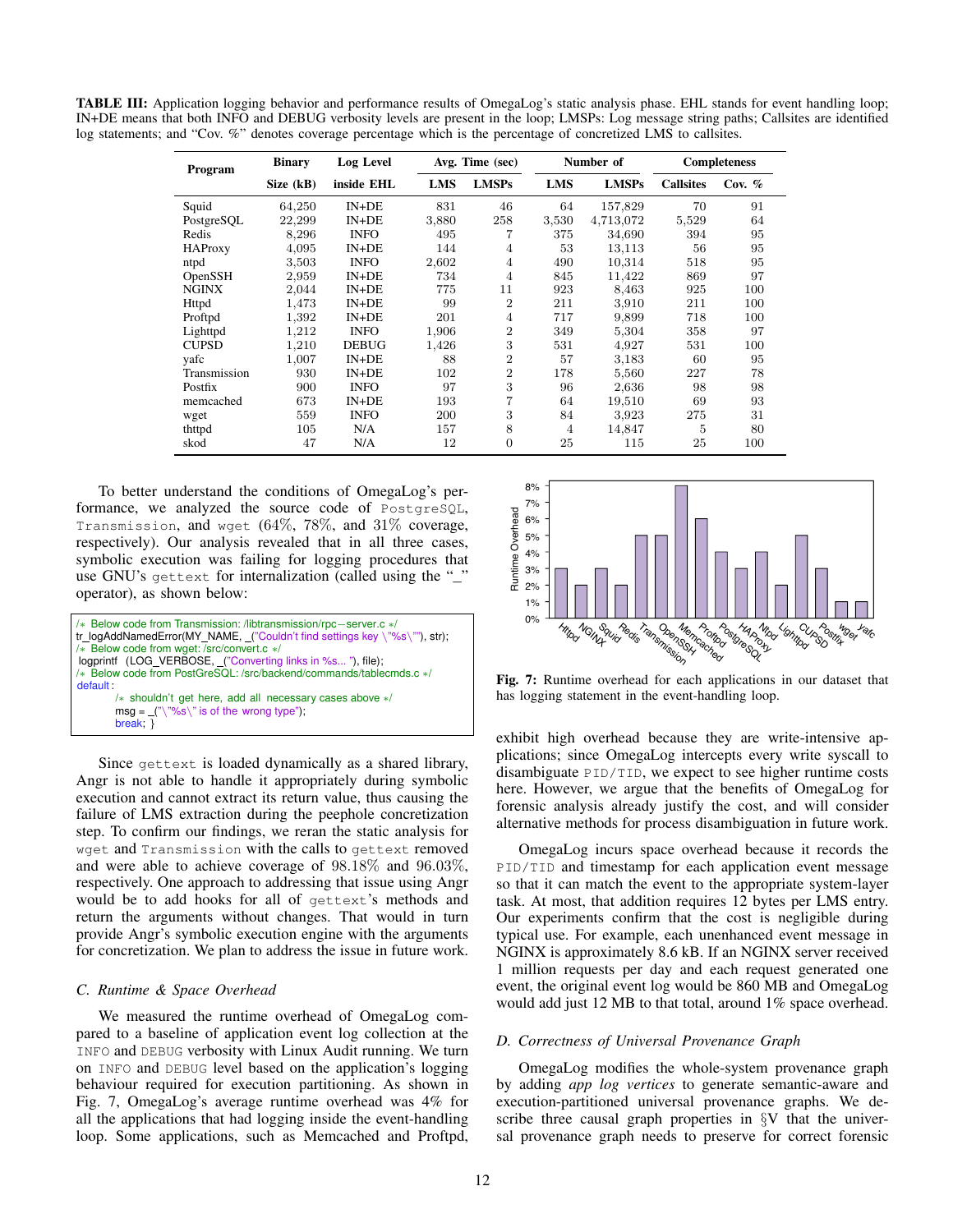<span id="page-11-0"></span>TABLE III: Application logging behavior and performance results of OmegaLog's static analysis phase. EHL stands for event handling loop; IN+DE means that both INFO and DEBUG verbosity levels are present in the loop; LMSPs: Log message string paths; Callsites are identified log statements; and "Cov. %" denotes coverage percentage which is the percentage of concretized LMS to callsites.

| Program        | <b>Binary</b> | Log Level    | Avg. Time (sec) |                | Number of  |              | <b>Completeness</b> |          |
|----------------|---------------|--------------|-----------------|----------------|------------|--------------|---------------------|----------|
|                | Size (kB)     | inside EHL   | <b>LMS</b>      | <b>LMSPs</b>   | <b>LMS</b> | <b>LMSPs</b> | <b>Callsites</b>    | Cov. $%$ |
| Squid          | 64,250        | $IN+DE$      | 831             | 46             | 64         | 157,829      | 70                  | 91       |
| PostgreSQL     | 22,299        | $IN+DE$      | 3,880           | 258            | 3,530      | 4,713,072    | 5,529               | 64       |
| Redis          | 8,296         | <b>INFO</b>  | 495             |                | 375        | 34,690       | 394                 | 95       |
| <b>HAProxy</b> | 4,095         | $IN+DE$      | 144             | 4              | 53         | 13,113       | 56                  | 95       |
| ntpd           | 3,503         | <b>INFO</b>  | 2,602           | $\overline{4}$ | 490        | 10,314       | 518                 | 95       |
| OpenSSH        | 2,959         | $IN+DE$      | 734             | 4              | 845        | 11,422       | 869                 | 97       |
| <b>NGINX</b>   | 2,044         | $IN+DE$      | 775             | 11             | 923        | 8,463        | 925                 | 100      |
| Httpd          | 1,473         | $IN+DE$      | 99              | $\overline{2}$ | 211        | 3,910        | 211                 | 100      |
| Proftpd        | 1,392         | $IN + DE$    | 201             | 4              | 717        | 9,899        | 718                 | 100      |
| Lighttpd       | 1,212         | <b>INFO</b>  | 1,906           | $\overline{2}$ | 349        | 5,304        | 358                 | 97       |
| <b>CUPSD</b>   | 1,210         | <b>DEBUG</b> | 1,426           | 3              | 531        | 4,927        | 531                 | 100      |
| vafc           | 1,007         | $IN+DE$      | 88              | $\overline{2}$ | 57         | 3,183        | 60                  | 95       |
| Transmission   | 930           | $IN + DE$    | 102             | $\overline{2}$ | 178        | 5,560        | 227                 | 78       |
| Postfix        | 900           | <b>INFO</b>  | 97              | 3              | 96         | 2,636        | 98                  | 98       |
| memcached      | 673           | $IN+DE$      | 193             | 7              | 64         | 19,510       | 69                  | 93       |
| wget           | 559           | <b>INFO</b>  | 200             | 3              | 84         | 3,923        | 275                 | 31       |
| thttpd         | 105           | N/A          | 157             | 8              | 4          | 14,847       | 5                   | 80       |
| skod           | 47            | N/A          | 12              | $\overline{0}$ | 25         | 115          | 25                  | 100      |

To better understand the conditions of OmegaLog's performance, we analyzed the source code of PostgreSQL, Transmission, and wget (64%, 78%, and 31% coverage, respectively). Our analysis revealed that in all three cases, symbolic execution was failing for logging procedures that use GNU's gettext for internalization (called using the "\_" operator), as shown below:



Since gettext is loaded dynamically as a shared library, Angr is not able to handle it appropriately during symbolic execution and cannot extract its return value, thus causing the failure of LMS extraction during the peephole concretization step. To confirm our findings, we reran the static analysis for wget and Transmission with the calls to gettext removed and were able to achieve coverage of 98.18% and 96.03%, respectively. One approach to addressing that issue using Angr would be to add hooks for all of gettext's methods and return the arguments without changes. That would in turn provide Angr's symbolic execution engine with the arguments for concretization. We plan to address the issue in future work.

#### *C. Runtime & Space Overhead*

We measured the runtime overhead of OmegaLog compared to a baseline of application event log collection at the INFO and DEBUG verbosity with Linux Audit running. We turn on INFO and DEBUG level based on the application's logging behaviour required for execution partitioning. As shown in Fig. [7,](#page-11-1) OmegaLog's average runtime overhead was 4% for all the applications that had logging inside the event-handling loop. Some applications, such as Memcached and Proftpd,

<span id="page-11-1"></span>

Fig. 7: Runtime overhead for each applications in our dataset that has logging statement in the event-handling loop.

exhibit high overhead because they are write-intensive applications; since OmegaLog intercepts every write syscall to disambiguate PID/TID, we expect to see higher runtime costs here. However, we argue that the benefits of OmegaLog for forensic analysis already justify the cost, and will consider alternative methods for process disambiguation in future work.

OmegaLog incurs space overhead because it records the PID/TID and timestamp for each application event message so that it can match the event to the appropriate system-layer task. At most, that addition requires 12 bytes per LMS entry. Our experiments confirm that the cost is negligible during typical use. For example, each unenhanced event message in NGINX is approximately 8.6 kB. If an NGINX server received 1 million requests per day and each request generated one event, the original event log would be 860 MB and OmegaLog would add just 12 MB to that total, around 1% space overhead.

## *D. Correctness of Universal Provenance Graph*

OmegaLog modifies the whole-system provenance graph by adding *app log vertices* to generate semantic-aware and execution-partitioned universal provenance graphs. We describe three causal graph properties in §[V](#page-4-3) that the universal provenance graph needs to preserve for correct forensic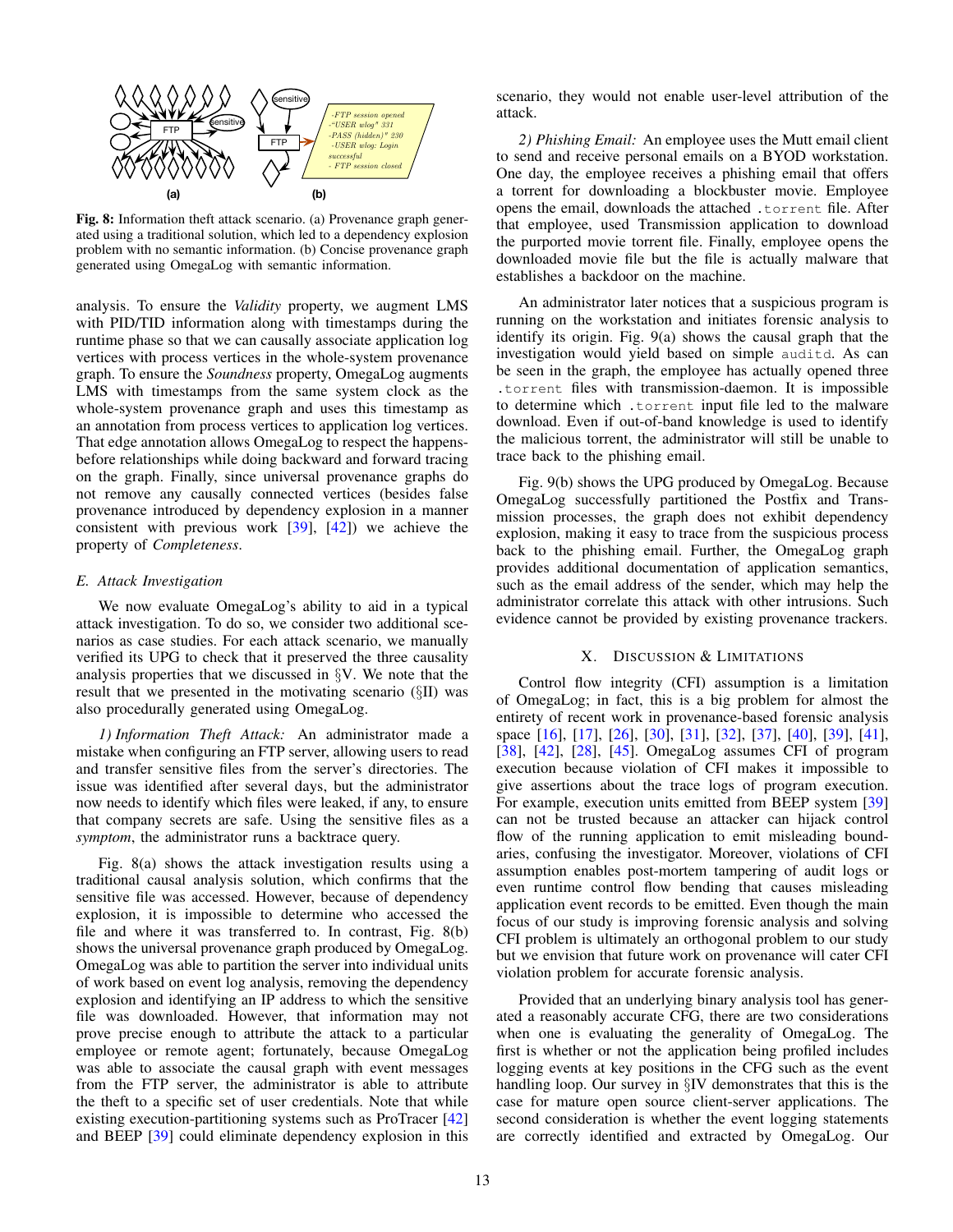<span id="page-12-1"></span>

Fig. 8: Information theft attack scenario. (a) Provenance graph generated using a traditional solution, which led to a dependency explosion problem with no semantic information. (b) Concise provenance graph generated using OmegaLog with semantic information.

analysis. To ensure the *Validity* property, we augment LMS with PID/TID information along with timestamps during the runtime phase so that we can causally associate application log vertices with process vertices in the whole-system provenance graph. To ensure the *Soundness* property, OmegaLog augments LMS with timestamps from the same system clock as the whole-system provenance graph and uses this timestamp as an annotation from process vertices to application log vertices. That edge annotation allows OmegaLog to respect the happensbefore relationships while doing backward and forward tracing on the graph. Finally, since universal provenance graphs do not remove any causally connected vertices (besides false provenance introduced by dependency explosion in a manner consistent with previous work  $[39]$ ,  $[42]$  we achieve the property of *Completeness*.

## *E. Attack Investigation*

We now evaluate OmegaLog's ability to aid in a typical attack investigation. To do so, we consider two additional scenarios as case studies. For each attack scenario, we manually verified its UPG to check that it preserved the three causality analysis properties that we discussed in §[V.](#page-4-3) We note that the result that we presented in the motivating scenario (§[II\)](#page-1-1) was also procedurally generated using OmegaLog.

*1) Information Theft Attack:* An administrator made a mistake when configuring an FTP server, allowing users to read and transfer sensitive files from the server's directories. The issue was identified after several days, but the administrator now needs to identify which files were leaked, if any, to ensure that company secrets are safe. Using the sensitive files as a *symptom*, the administrator runs a backtrace query.

Fig. [8\(](#page-12-1)a) shows the attack investigation results using a traditional causal analysis solution, which confirms that the sensitive file was accessed. However, because of dependency explosion, it is impossible to determine who accessed the file and where it was transferred to. In contrast, Fig. [8\(](#page-12-1)b) shows the universal provenance graph produced by OmegaLog. OmegaLog was able to partition the server into individual units of work based on event log analysis, removing the dependency explosion and identifying an IP address to which the sensitive file was downloaded. However, that information may not prove precise enough to attribute the attack to a particular employee or remote agent; fortunately, because OmegaLog was able to associate the causal graph with event messages from the FTP server, the administrator is able to attribute the theft to a specific set of user credentials. Note that while existing execution-partitioning systems such as ProTracer [\[42\]](#page-15-3) and BEEP [\[39\]](#page-14-11) could eliminate dependency explosion in this scenario, they would not enable user-level attribution of the attack.

*2) Phishing Email:* An employee uses the Mutt email client to send and receive personal emails on a BYOD workstation. One day, the employee receives a phishing email that offers a torrent for downloading a blockbuster movie. Employee opens the email, downloads the attached .torrent file. After that employee, used Transmission application to download the purported movie torrent file. Finally, employee opens the downloaded movie file but the file is actually malware that establishes a backdoor on the machine.

An administrator later notices that a suspicious program is running on the workstation and initiates forensic analysis to identify its origin. Fig. [9\(](#page-13-0)a) shows the causal graph that the investigation would yield based on simple auditd. As can be seen in the graph, the employee has actually opened three .torrent files with transmission-daemon. It is impossible to determine which .torrent input file led to the malware download. Even if out-of-band knowledge is used to identify the malicious torrent, the administrator will still be unable to trace back to the phishing email.

Fig. [9\(](#page-13-0)b) shows the UPG produced by OmegaLog. Because OmegaLog successfully partitioned the Postfix and Transmission processes, the graph does not exhibit dependency explosion, making it easy to trace from the suspicious process back to the phishing email. Further, the OmegaLog graph provides additional documentation of application semantics, such as the email address of the sender, which may help the administrator correlate this attack with other intrusions. Such evidence cannot be provided by existing provenance trackers.

#### X. DISCUSSION & LIMITATIONS

<span id="page-12-0"></span>Control flow integrity (CFI) assumption is a limitation of OmegaLog; in fact, this is a big problem for almost the entirety of recent work in provenance-based forensic analysis space [\[16\]](#page-14-8), [\[17\]](#page-14-3), [\[26\]](#page-14-4), [\[30\]](#page-14-17), [\[31\]](#page-14-7), [\[32\]](#page-14-5), [\[37\]](#page-14-15), [\[40\]](#page-15-1), [\[39\]](#page-14-11), [\[41\]](#page-15-4), [\[38\]](#page-14-16), [\[42\]](#page-15-3), [\[28\]](#page-14-12), [\[45\]](#page-15-16). OmegaLog assumes CFI of program execution because violation of CFI makes it impossible to give assertions about the trace logs of program execution. For example, execution units emitted from BEEP system [\[39\]](#page-14-11) can not be trusted because an attacker can hijack control flow of the running application to emit misleading boundaries, confusing the investigator. Moreover, violations of CFI assumption enables post-mortem tampering of audit logs or even runtime control flow bending that causes misleading application event records to be emitted. Even though the main focus of our study is improving forensic analysis and solving CFI problem is ultimately an orthogonal problem to our study but we envision that future work on provenance will cater CFI violation problem for accurate forensic analysis.

Provided that an underlying binary analysis tool has generated a reasonably accurate CFG, there are two considerations when one is evaluating the generality of OmegaLog. The first is whether or not the application being profiled includes logging events at key positions in the CFG such as the event handling loop. Our survey in §[IV](#page-4-2) demonstrates that this is the case for mature open source client-server applications. The second consideration is whether the event logging statements are correctly identified and extracted by OmegaLog. Our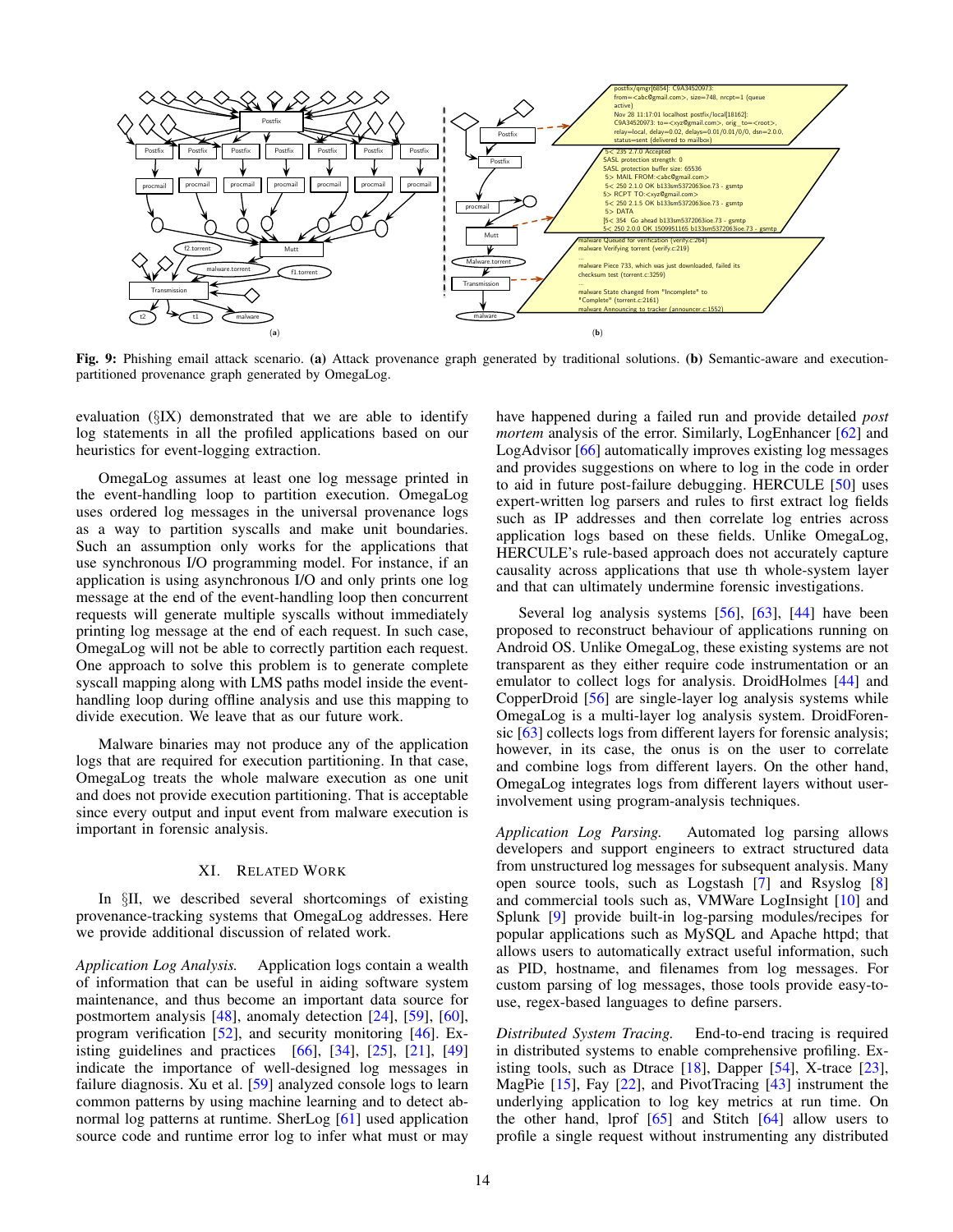<span id="page-13-0"></span>

Fig. 9: Phishing email attack scenario. (a) Attack provenance graph generated by traditional solutions. (b) Semantic-aware and executionpartitioned provenance graph generated by OmegaLog.

evaluation (§[IX\)](#page-10-1) demonstrated that we are able to identify log statements in all the profiled applications based on our heuristics for event-logging extraction.

OmegaLog assumes at least one log message printed in the event-handling loop to partition execution. OmegaLog uses ordered log messages in the universal provenance logs as a way to partition syscalls and make unit boundaries. Such an assumption only works for the applications that use synchronous I/O programming model. For instance, if an application is using asynchronous I/O and only prints one log message at the end of the event-handling loop then concurrent requests will generate multiple syscalls without immediately printing log message at the end of each request. In such case, OmegaLog will not be able to correctly partition each request. One approach to solve this problem is to generate complete syscall mapping along with LMS paths model inside the eventhandling loop during offline analysis and use this mapping to divide execution. We leave that as our future work.

Malware binaries may not produce any of the application logs that are required for execution partitioning. In that case, OmegaLog treats the whole malware execution as one unit and does not provide execution partitioning. That is acceptable since every output and input event from malware execution is important in forensic analysis.

## XI. RELATED WORK

In §[II,](#page-1-1) we described several shortcomings of existing provenance-tracking systems that OmegaLog addresses. Here we provide additional discussion of related work.

*Application Log Analysis.* Application logs contain a wealth of information that can be useful in aiding software system maintenance, and thus become an important data source for postmortem analysis [\[48\]](#page-15-11), anomaly detection [\[24\]](#page-14-13), [\[59\]](#page-15-7), [\[60\]](#page-15-8), program verification [\[52\]](#page-15-17), and security monitoring [\[46\]](#page-15-18). Existing guidelines and practices  $[66]$ ,  $[34]$ ,  $[25]$ ,  $[21]$ ,  $[49]$ indicate the importance of well-designed log messages in failure diagnosis. Xu et al. [\[59\]](#page-15-7) analyzed console logs to learn common patterns by using machine learning and to detect abnormal log patterns at runtime. SherLog [\[61\]](#page-15-20) used application source code and runtime error log to infer what must or may have happened during a failed run and provide detailed *post mortem* analysis of the error. Similarly, LogEnhancer [\[62\]](#page-15-21) and LogAdvisor [\[66\]](#page-15-19) automatically improves existing log messages and provides suggestions on where to log in the code in order to aid in future post-failure debugging. HERCULE [\[50\]](#page-15-12) uses expert-written log parsers and rules to first extract log fields such as IP addresses and then correlate log entries across application logs based on these fields. Unlike OmegaLog, HERCULE's rule-based approach does not accurately capture causality across applications that use th whole-system layer and that can ultimately undermine forensic investigations.

Several log analysis systems [\[56\]](#page-15-22), [\[63\]](#page-15-23), [\[44\]](#page-15-24) have been proposed to reconstruct behaviour of applications running on Android OS. Unlike OmegaLog, these existing systems are not transparent as they either require code instrumentation or an emulator to collect logs for analysis. DroidHolmes [\[44\]](#page-15-24) and CopperDroid [\[56\]](#page-15-22) are single-layer log analysis systems while OmegaLog is a multi-layer log analysis system. DroidForensic [\[63\]](#page-15-23) collects logs from different layers for forensic analysis; however, in its case, the onus is on the user to correlate and combine logs from different layers. On the other hand, OmegaLog integrates logs from different layers without userinvolvement using program-analysis techniques.

*Application Log Parsing.* Automated log parsing allows developers and support engineers to extract structured data from unstructured log messages for subsequent analysis. Many open source tools, such as Logstash [\[7\]](#page-14-32) and Rsyslog [\[8\]](#page-14-25) and commercial tools such as, VMWare LogInsight [\[10\]](#page-14-33) and Splunk [\[9\]](#page-14-34) provide built-in log-parsing modules/recipes for popular applications such as MySQL and Apache httpd; that allows users to automatically extract useful information, such as PID, hostname, and filenames from log messages. For custom parsing of log messages, those tools provide easy-touse, regex-based languages to define parsers.

*Distributed System Tracing.* End-to-end tracing is required in distributed systems to enable comprehensive profiling. Existing tools, such as Dtrace [\[18\]](#page-14-35), Dapper [\[54\]](#page-15-25), X-trace [\[23\]](#page-14-36), MagPie [\[15\]](#page-14-37), Fay [\[22\]](#page-14-38), and PivotTracing [\[43\]](#page-15-26) instrument the underlying application to log key metrics at run time. On the other hand, lprof [\[65\]](#page-15-9) and Stitch [\[64\]](#page-15-10) allow users to profile a single request without instrumenting any distributed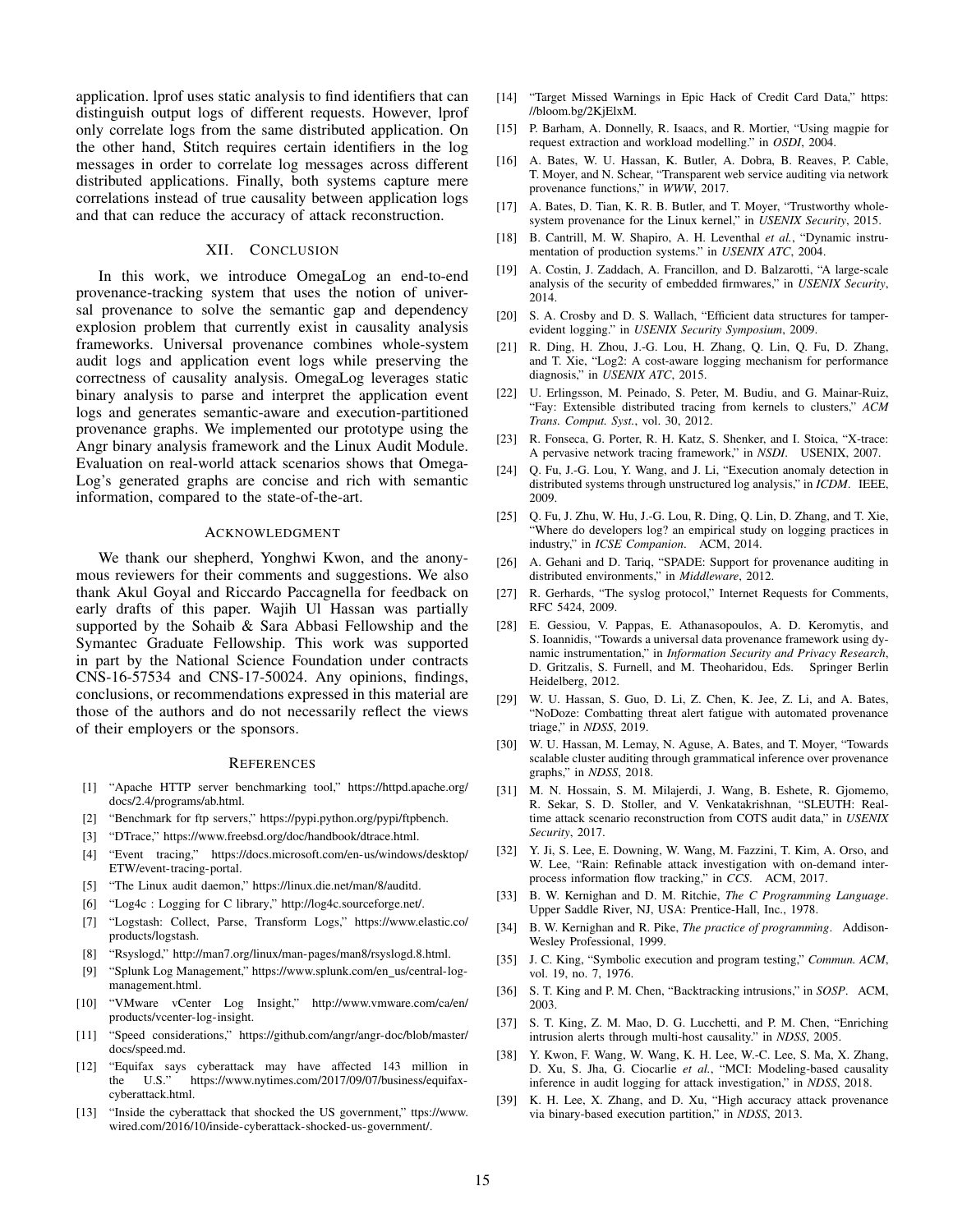application. lprof uses static analysis to find identifiers that can distinguish output logs of different requests. However, lprof only correlate logs from the same distributed application. On the other hand, Stitch requires certain identifiers in the log messages in order to correlate log messages across different distributed applications. Finally, both systems capture mere correlations instead of true causality between application logs and that can reduce the accuracy of attack reconstruction.

## XII. CONCLUSION

In this work, we introduce OmegaLog an end-to-end provenance-tracking system that uses the notion of universal provenance to solve the semantic gap and dependency explosion problem that currently exist in causality analysis frameworks. Universal provenance combines whole-system audit logs and application event logs while preserving the correctness of causality analysis. OmegaLog leverages static binary analysis to parse and interpret the application event logs and generates semantic-aware and execution-partitioned provenance graphs. We implemented our prototype using the Angr binary analysis framework and the Linux Audit Module. Evaluation on real-world attack scenarios shows that Omega-Log's generated graphs are concise and rich with semantic information, compared to the state-of-the-art.

#### ACKNOWLEDGMENT

We thank our shepherd, Yonghwi Kwon, and the anonymous reviewers for their comments and suggestions. We also thank Akul Goyal and Riccardo Paccagnella for feedback on early drafts of this paper. Wajih Ul Hassan was partially supported by the Sohaib & Sara Abbasi Fellowship and the Symantec Graduate Fellowship. This work was supported in part by the National Science Foundation under contracts CNS-16-57534 and CNS-17-50024. Any opinions, findings, conclusions, or recommendations expressed in this material are those of the authors and do not necessarily reflect the views of their employers or the sponsors.

#### **REFERENCES**

- <span id="page-14-26"></span>[1] "Apache HTTP server benchmarking tool," [https://httpd.apache.org/](https://httpd.apache.org/docs/2.4/programs/ab.html) [docs/2.4/programs/ab.html.](https://httpd.apache.org/docs/2.4/programs/ab.html)
- <span id="page-14-27"></span>[2] "Benchmark for ftp servers," [https://pypi.python.org/pypi/ftpbench.](https://pypi.python.org/pypi/ftpbench)
- <span id="page-14-29"></span>[3] "DTrace," [https://www.freebsd.org/doc/handbook/dtrace.html.](https://www.freebsd.org/doc/handbook/dtrace.html)
- <span id="page-14-28"></span>[4] "Event tracing," [https://docs.microsoft.com/en-us/windows/desktop/](https://docs.microsoft.com/en-us/windows/desktop/ETW/event-tracing-portal) [ETW/event-tracing-portal.](https://docs.microsoft.com/en-us/windows/desktop/ETW/event-tracing-portal)
- <span id="page-14-14"></span>[5] "The Linux audit daemon," [https://linux.die.net/man/8/auditd.](https://linux.die.net/man/8/auditd)
- <span id="page-14-23"></span>[6] "Log4c : Logging for C library," [http://log4c.sourceforge.net/.](http://log4c.sourceforge.net/)
- <span id="page-14-32"></span>[7] "Logstash: Collect, Parse, Transform Logs," [https://www.elastic.co/](https://www.elastic.co/products/logstash) [products/logstash.](https://www.elastic.co/products/logstash)
- <span id="page-14-25"></span>[8] "Rsyslogd," [http://man7.org/linux/man-pages/man8/rsyslogd.8.html.](http://man7.org/linux/man-pages/man8/rsyslogd.8.html)
- <span id="page-14-34"></span>[9] "Splunk Log Management," [https://www.splunk.com/en](https://www.splunk.com/en_us/central-log-management.html)\_us/central-log[management.html.](https://www.splunk.com/en_us/central-log-management.html)
- <span id="page-14-33"></span>[10] "VMware vCenter Log Insight," [http://www.vmware.com/ca/en/](http://www.vmware.com/ca/en/products/vcenter-log-insight) [products/vcenter-log-insight.](http://www.vmware.com/ca/en/products/vcenter-log-insight)
- <span id="page-14-30"></span>[11] "Speed considerations," [https://github.com/angr/angr-doc/blob/master/](https://github.com/angr/angr-doc/blob/master/docs/speed.md) [docs/speed.md.](https://github.com/angr/angr-doc/blob/master/docs/speed.md)
- <span id="page-14-1"></span>[12] "Equifax says cyberattack may have affected 143 million in the U.S." [https://www.nytimes.com/2017/09/07/business/equifax](https://www.nytimes.com/2017/09/07/business/equifax-cyberattack.html)[cyberattack.html.](https://www.nytimes.com/2017/09/07/business/equifax-cyberattack.html)
- <span id="page-14-2"></span>[13] "Inside the cyberattack that shocked the US government," [ttps://www.](ttps://www.wired.com/2016/10/inside-cyberattack-shocked-us-government/) [wired.com/2016/10/inside-cyberattack-shocked-us-government/.](ttps://www.wired.com/2016/10/inside-cyberattack-shocked-us-government/)
- <span id="page-14-0"></span>[14] "Target Missed Warnings in Epic Hack of Credit Card Data," [https:](https://bloom.bg/2KjElxM) [//bloom.bg/2KjElxM.](https://bloom.bg/2KjElxM)
- <span id="page-14-37"></span>[15] P. Barham, A. Donnelly, R. Isaacs, and R. Mortier, "Using magpie for request extraction and workload modelling." in *OSDI*, 2004.
- <span id="page-14-8"></span>[16] A. Bates, W. U. Hassan, K. Butler, A. Dobra, B. Reaves, P. Cable, T. Moyer, and N. Schear, "Transparent web service auditing via network provenance functions," in *WWW*, 2017.
- <span id="page-14-3"></span>[17] A. Bates, D. Tian, K. R. B. Butler, and T. Moyer, "Trustworthy wholesystem provenance for the Linux kernel," in *USENIX Security*, 2015.
- <span id="page-14-35"></span>[18] B. Cantrill, M. W. Shapiro, A. H. Leventhal *et al.*, "Dynamic instrumentation of production systems." in *USENIX ATC*, 2004.
- <span id="page-14-21"></span>[19] A. Costin, J. Zaddach, A. Francillon, and D. Balzarotti, "A large-scale analysis of the security of embedded firmwares," in *USENIX Security*, 2014.
- <span id="page-14-18"></span>[20] S. A. Crosby and D. S. Wallach, "Efficient data structures for tamperevident logging." in *USENIX Security Symposium*, 2009.
- <span id="page-14-10"></span>[21] R. Ding, H. Zhou, J.-G. Lou, H. Zhang, Q. Lin, Q. Fu, D. Zhang, and T. Xie, "Log2: A cost-aware logging mechanism for performance diagnosis," in *USENIX ATC*, 2015.
- <span id="page-14-38"></span>[22] U. Erlingsson, M. Peinado, S. Peter, M. Budiu, and G. Mainar-Ruiz, "Fay: Extensible distributed tracing from kernels to clusters," *ACM Trans. Comput. Syst.*, vol. 30, 2012.
- <span id="page-14-36"></span>[23] R. Fonseca, G. Porter, R. H. Katz, S. Shenker, and I. Stoica, "X-trace: A pervasive network tracing framework," in *NSDI*. USENIX, 2007.
- <span id="page-14-13"></span>[24] Q. Fu, J.-G. Lou, Y. Wang, and J. Li, "Execution anomaly detection in distributed systems through unstructured log analysis," in *ICDM*. IEEE, 2009.
- <span id="page-14-9"></span>[25] Q. Fu, J. Zhu, W. Hu, J.-G. Lou, R. Ding, Q. Lin, D. Zhang, and T. Xie, "Where do developers log? an empirical study on logging practices in industry," in *ICSE Companion*. ACM, 2014.
- <span id="page-14-4"></span>[26] A. Gehani and D. Tariq, "SPADE: Support for provenance auditing in distributed environments," in *Middleware*, 2012.
- <span id="page-14-22"></span>[27] R. Gerhards, "The syslog protocol," Internet Requests for Comments, RFC 5424, 2009.
- <span id="page-14-12"></span>[28] E. Gessiou, V. Pappas, E. Athanasopoulos, A. D. Keromytis, and S. Ioannidis, "Towards a universal data provenance framework using dynamic instrumentation," in *Information Security and Privacy Research*, D. Gritzalis, S. Furnell, and M. Theoharidou, Eds. Springer Berlin Heidelberg, 2012.
- <span id="page-14-19"></span>[29] W. U. Hassan, S. Guo, D. Li, Z. Chen, K. Jee, Z. Li, and A. Bates, "NoDoze: Combatting threat alert fatigue with automated provenance triage," in *NDSS*, 2019.
- <span id="page-14-17"></span>[30] W. U. Hassan, M. Lemay, N. Aguse, A. Bates, and T. Moyer, "Towards scalable cluster auditing through grammatical inference over provenance graphs," in *NDSS*, 2018.
- <span id="page-14-7"></span>[31] M. N. Hossain, S. M. Milajerdi, J. Wang, B. Eshete, R. Gjomemo, R. Sekar, S. D. Stoller, and V. Venkatakrishnan, "SLEUTH: Realtime attack scenario reconstruction from COTS audit data," in *USENIX Security*, 2017.
- <span id="page-14-5"></span>[32] Y. Ji, S. Lee, E. Downing, W. Wang, M. Fazzini, T. Kim, A. Orso, and W. Lee, "Rain: Refinable attack investigation with on-demand interprocess information flow tracking," in *CCS*. ACM, 2017.
- <span id="page-14-20"></span>[33] B. W. Kernighan and D. M. Ritchie, *The C Programming Language*. Upper Saddle River, NJ, USA: Prentice-Hall, Inc., 1978.
- <span id="page-14-31"></span>[34] B. W. Kernighan and R. Pike, *The practice of programming*. Addison-Wesley Professional, 1999.
- <span id="page-14-24"></span>[35] J. C. King, "Symbolic execution and program testing," *Commun. ACM*, vol. 19, no. 7, 1976.
- <span id="page-14-6"></span>[36] S. T. King and P. M. Chen, "Backtracking intrusions," in *SOSP*. ACM, 2003.
- <span id="page-14-15"></span>[37] S. T. King, Z. M. Mao, D. G. Lucchetti, and P. M. Chen, "Enriching intrusion alerts through multi-host causality." in *NDSS*, 2005.
- <span id="page-14-16"></span>[38] Y. Kwon, F. Wang, W. Wang, K. H. Lee, W.-C. Lee, S. Ma, X. Zhang, D. Xu, S. Jha, G. Ciocarlie *et al.*, "MCI: Modeling-based causality inference in audit logging for attack investigation," in *NDSS*, 2018.
- <span id="page-14-11"></span>[39] K. H. Lee, X. Zhang, and D. Xu, "High accuracy attack provenance via binary-based execution partition," in *NDSS*, 2013.